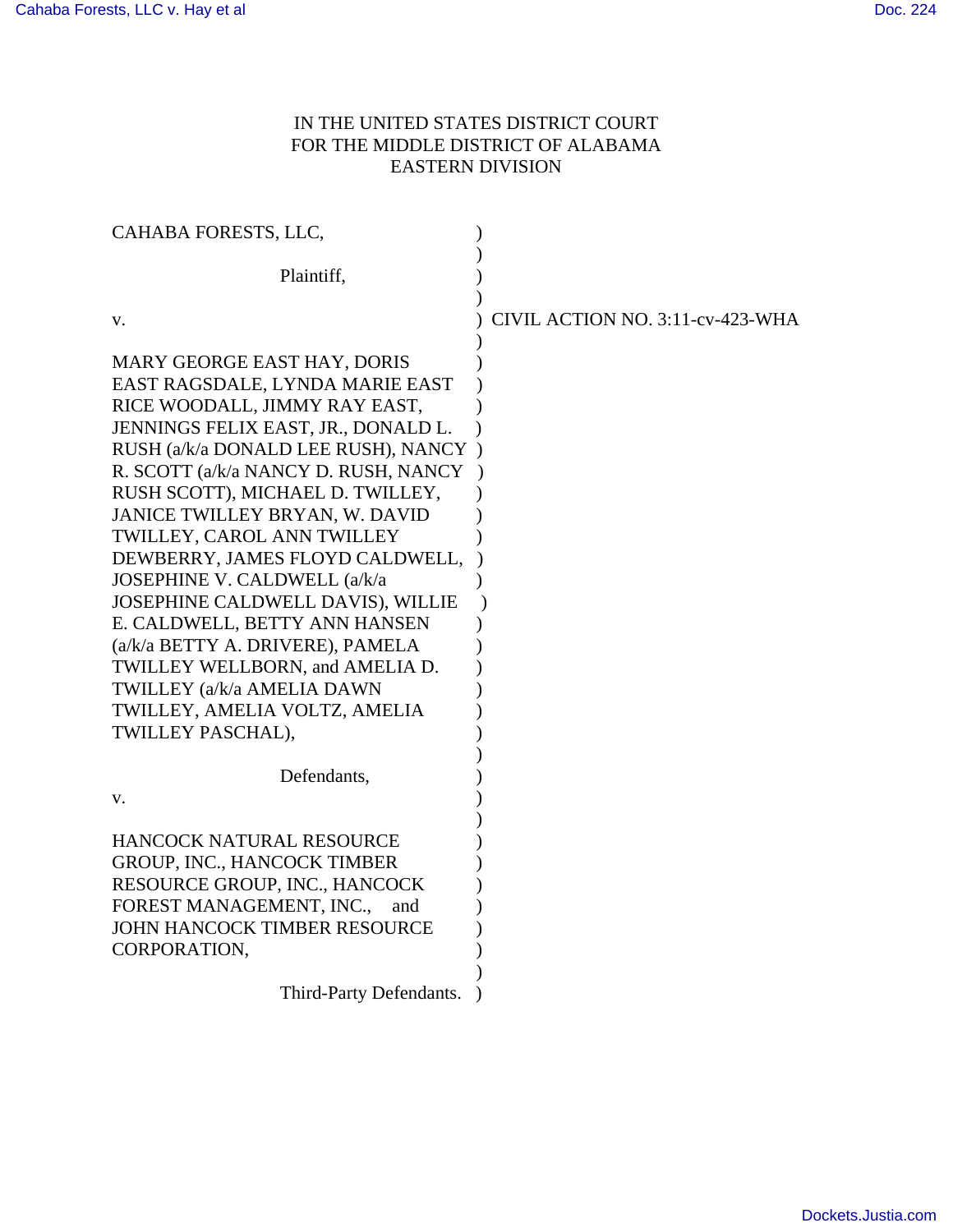# IN THE UNITED STATES DISTRICT COURT FOR THE MIDDLE DISTRICT OF ALABAMA EASTERN DIVISION

| CAHABA FORESTS, LLC,                                                                                                                                                                                                                                                                                                                                                                                                                                                                                                                                                                                     |                                  |
|----------------------------------------------------------------------------------------------------------------------------------------------------------------------------------------------------------------------------------------------------------------------------------------------------------------------------------------------------------------------------------------------------------------------------------------------------------------------------------------------------------------------------------------------------------------------------------------------------------|----------------------------------|
| Plaintiff,                                                                                                                                                                                                                                                                                                                                                                                                                                                                                                                                                                                               |                                  |
| V.                                                                                                                                                                                                                                                                                                                                                                                                                                                                                                                                                                                                       | CIVIL ACTION NO. 3:11-cv-423-WHA |
| MARY GEORGE EAST HAY, DORIS<br>EAST RAGSDALE, LYNDA MARIE EAST<br>RICE WOODALL, JIMMY RAY EAST,<br>JENNINGS FELIX EAST, JR., DONALD L.<br>RUSH (a/k/a DONALD LEE RUSH), NANCY<br>R. SCOTT (a/k/a NANCY D. RUSH, NANCY<br>RUSH SCOTT), MICHAEL D. TWILLEY,<br>JANICE TWILLEY BRYAN, W. DAVID<br>TWILLEY, CAROL ANN TWILLEY<br>DEWBERRY, JAMES FLOYD CALDWELL,<br>JOSEPHINE V. CALDWELL (a/k/a<br>JOSEPHINE CALDWELL DAVIS), WILLIE<br>E. CALDWELL, BETTY ANN HANSEN<br>(a/k/a BETTY A. DRIVERE), PAMELA<br>TWILLEY WELLBORN, and AMELIA D.<br>TWILLEY (a/k/a AMELIA DAWN<br>TWILLEY, AMELIA VOLTZ, AMELIA |                                  |
| TWILLEY PASCHAL),                                                                                                                                                                                                                                                                                                                                                                                                                                                                                                                                                                                        |                                  |
| Defendants,<br>V.                                                                                                                                                                                                                                                                                                                                                                                                                                                                                                                                                                                        |                                  |
| HANCOCK NATURAL RESOURCE<br><b>GROUP, INC., HANCOCK TIMBER</b><br>RESOURCE GROUP, INC., HANCOCK<br>FOREST MANAGEMENT, INC.,<br>and<br><b>JOHN HANCOCK TIMBER RESOURCE</b><br>CORPORATION,                                                                                                                                                                                                                                                                                                                                                                                                                |                                  |
| Third-Party Defendants.                                                                                                                                                                                                                                                                                                                                                                                                                                                                                                                                                                                  |                                  |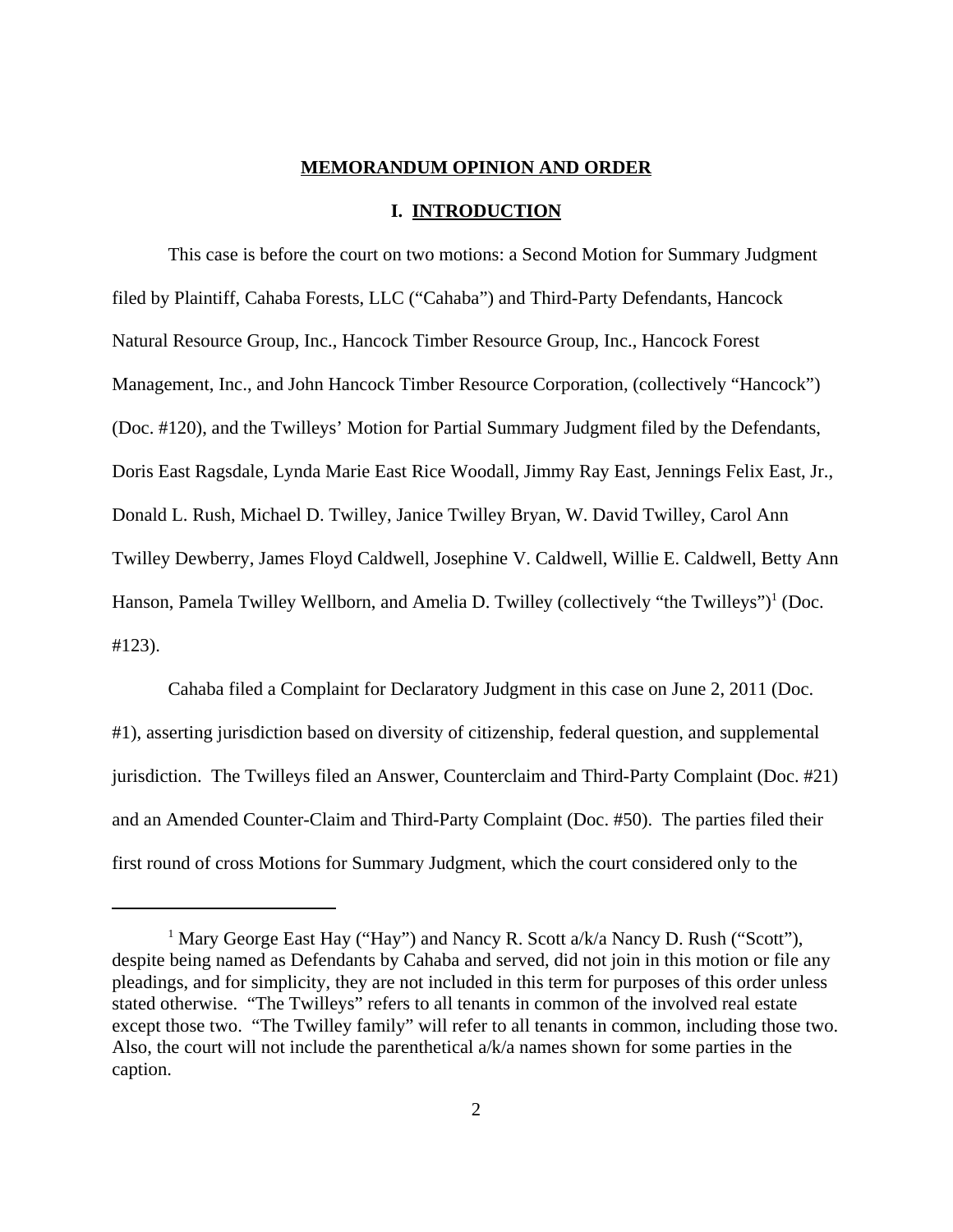#### **MEMORANDUM OPINION AND ORDER**

#### **I. INTRODUCTION**

This case is before the court on two motions: a Second Motion for Summary Judgment filed by Plaintiff, Cahaba Forests, LLC ("Cahaba") and Third-Party Defendants, Hancock Natural Resource Group, Inc., Hancock Timber Resource Group, Inc., Hancock Forest Management, Inc., and John Hancock Timber Resource Corporation, (collectively "Hancock") (Doc. #120), and the Twilleys' Motion for Partial Summary Judgment filed by the Defendants, Doris East Ragsdale, Lynda Marie East Rice Woodall, Jimmy Ray East, Jennings Felix East, Jr., Donald L. Rush, Michael D. Twilley, Janice Twilley Bryan, W. David Twilley, Carol Ann Twilley Dewberry, James Floyd Caldwell, Josephine V. Caldwell, Willie E. Caldwell, Betty Ann Hanson, Pamela Twilley Wellborn, and Amelia D. Twilley (collectively "the Twilleys")<sup>1</sup> (Doc. #123).

Cahaba filed a Complaint for Declaratory Judgment in this case on June 2, 2011 (Doc. #1), asserting jurisdiction based on diversity of citizenship, federal question, and supplemental jurisdiction. The Twilleys filed an Answer, Counterclaim and Third-Party Complaint (Doc. #21) and an Amended Counter-Claim and Third-Party Complaint (Doc. #50). The parties filed their first round of cross Motions for Summary Judgment, which the court considered only to the

<sup>&</sup>lt;sup>1</sup> Mary George East Hay ("Hay") and Nancy R. Scott a/k/a Nancy D. Rush ("Scott"), despite being named as Defendants by Cahaba and served, did not join in this motion or file any pleadings, and for simplicity, they are not included in this term for purposes of this order unless stated otherwise. "The Twilleys" refers to all tenants in common of the involved real estate except those two. "The Twilley family" will refer to all tenants in common, including those two. Also, the court will not include the parenthetical a/k/a names shown for some parties in the caption.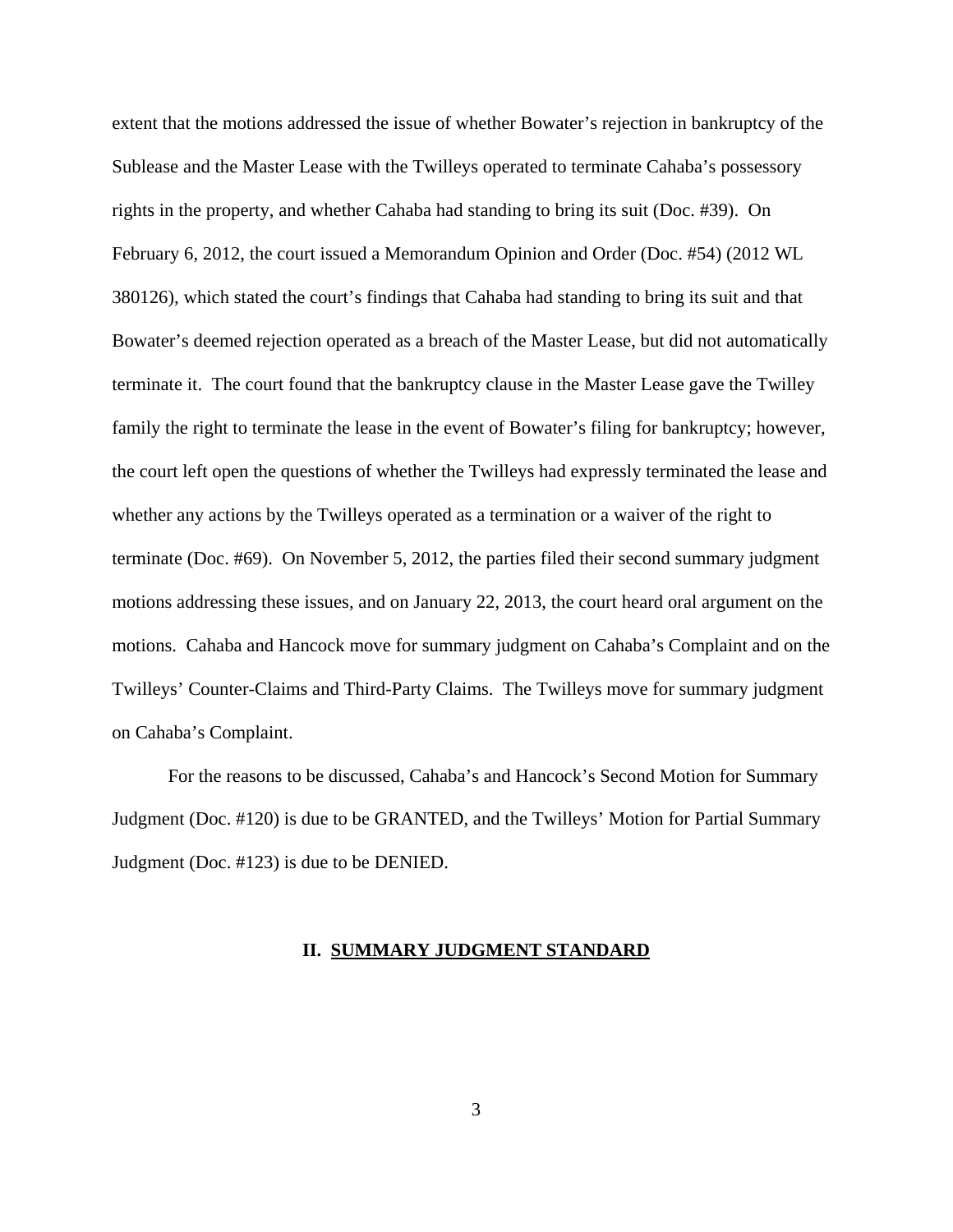extent that the motions addressed the issue of whether Bowater's rejection in bankruptcy of the Sublease and the Master Lease with the Twilleys operated to terminate Cahaba's possessory rights in the property, and whether Cahaba had standing to bring its suit (Doc. #39). On February 6, 2012, the court issued a Memorandum Opinion and Order (Doc. #54) (2012 WL 380126), which stated the court's findings that Cahaba had standing to bring its suit and that Bowater's deemed rejection operated as a breach of the Master Lease, but did not automatically terminate it. The court found that the bankruptcy clause in the Master Lease gave the Twilley family the right to terminate the lease in the event of Bowater's filing for bankruptcy; however, the court left open the questions of whether the Twilleys had expressly terminated the lease and whether any actions by the Twilleys operated as a termination or a waiver of the right to terminate (Doc. #69). On November 5, 2012, the parties filed their second summary judgment motions addressing these issues, and on January 22, 2013, the court heard oral argument on the motions. Cahaba and Hancock move for summary judgment on Cahaba's Complaint and on the Twilleys' Counter-Claims and Third-Party Claims. The Twilleys move for summary judgment on Cahaba's Complaint.

For the reasons to be discussed, Cahaba's and Hancock's Second Motion for Summary Judgment (Doc. #120) is due to be GRANTED, and the Twilleys' Motion for Partial Summary Judgment (Doc. #123) is due to be DENIED.

## **II. SUMMARY JUDGMENT STANDARD**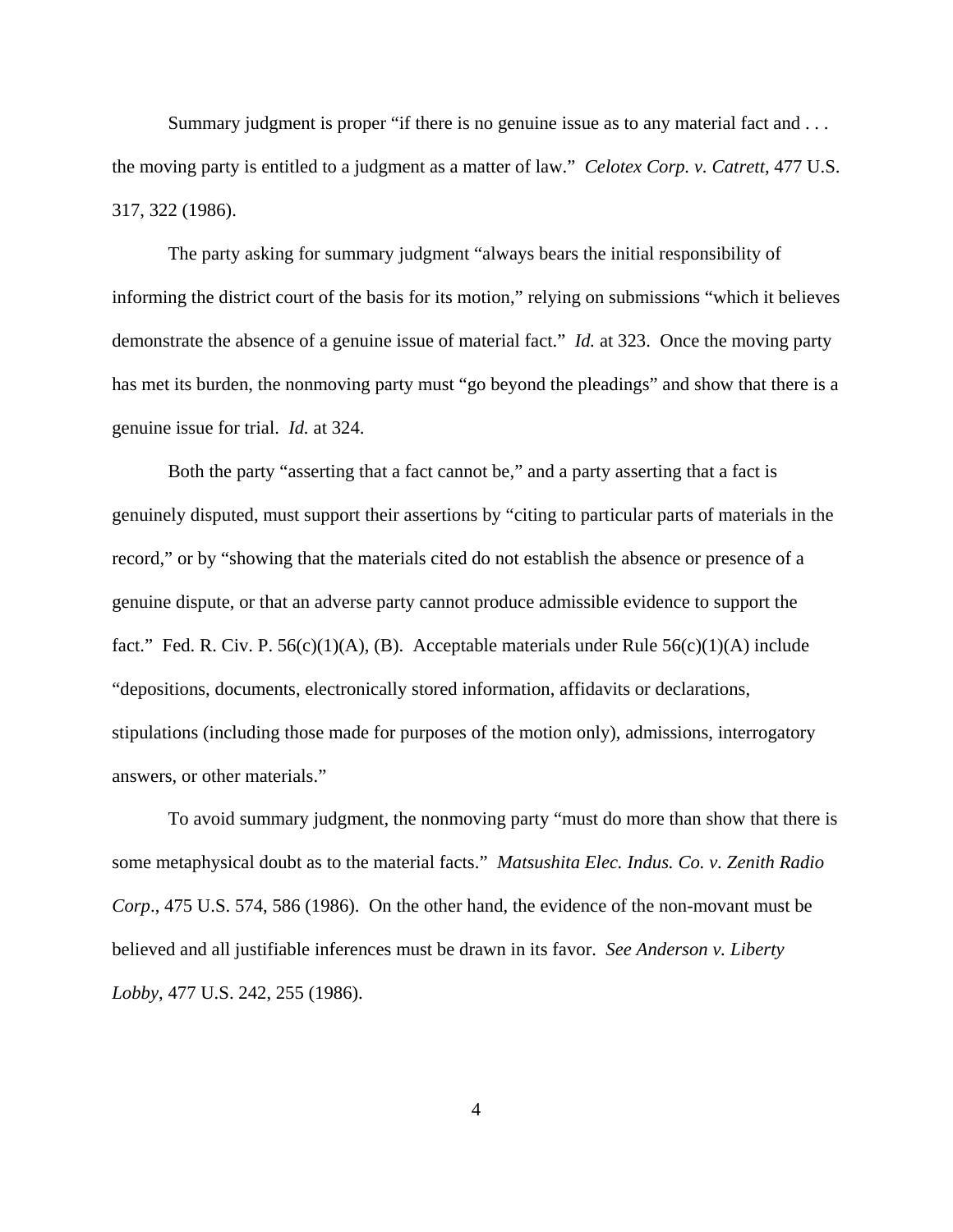Summary judgment is proper "if there is no genuine issue as to any material fact and . . . the moving party is entitled to a judgment as a matter of law." *Celotex Corp. v. Catrett*, 477 U.S. 317, 322 (1986).

The party asking for summary judgment "always bears the initial responsibility of informing the district court of the basis for its motion," relying on submissions "which it believes demonstrate the absence of a genuine issue of material fact." *Id.* at 323. Once the moving party has met its burden, the nonmoving party must "go beyond the pleadings" and show that there is a genuine issue for trial. *Id.* at 324.

Both the party "asserting that a fact cannot be," and a party asserting that a fact is genuinely disputed, must support their assertions by "citing to particular parts of materials in the record," or by "showing that the materials cited do not establish the absence or presence of a genuine dispute, or that an adverse party cannot produce admissible evidence to support the fact." Fed. R. Civ. P.  $56(c)(1)(A)$ , (B). Acceptable materials under Rule  $56(c)(1)(A)$  include "depositions, documents, electronically stored information, affidavits or declarations, stipulations (including those made for purposes of the motion only), admissions, interrogatory answers, or other materials."

To avoid summary judgment, the nonmoving party "must do more than show that there is some metaphysical doubt as to the material facts." *Matsushita Elec. Indus. Co. v. Zenith Radio Corp*., 475 U.S. 574, 586 (1986). On the other hand, the evidence of the non-movant must be believed and all justifiable inferences must be drawn in its favor. *See Anderson v. Liberty Lobby*, 477 U.S. 242, 255 (1986).

4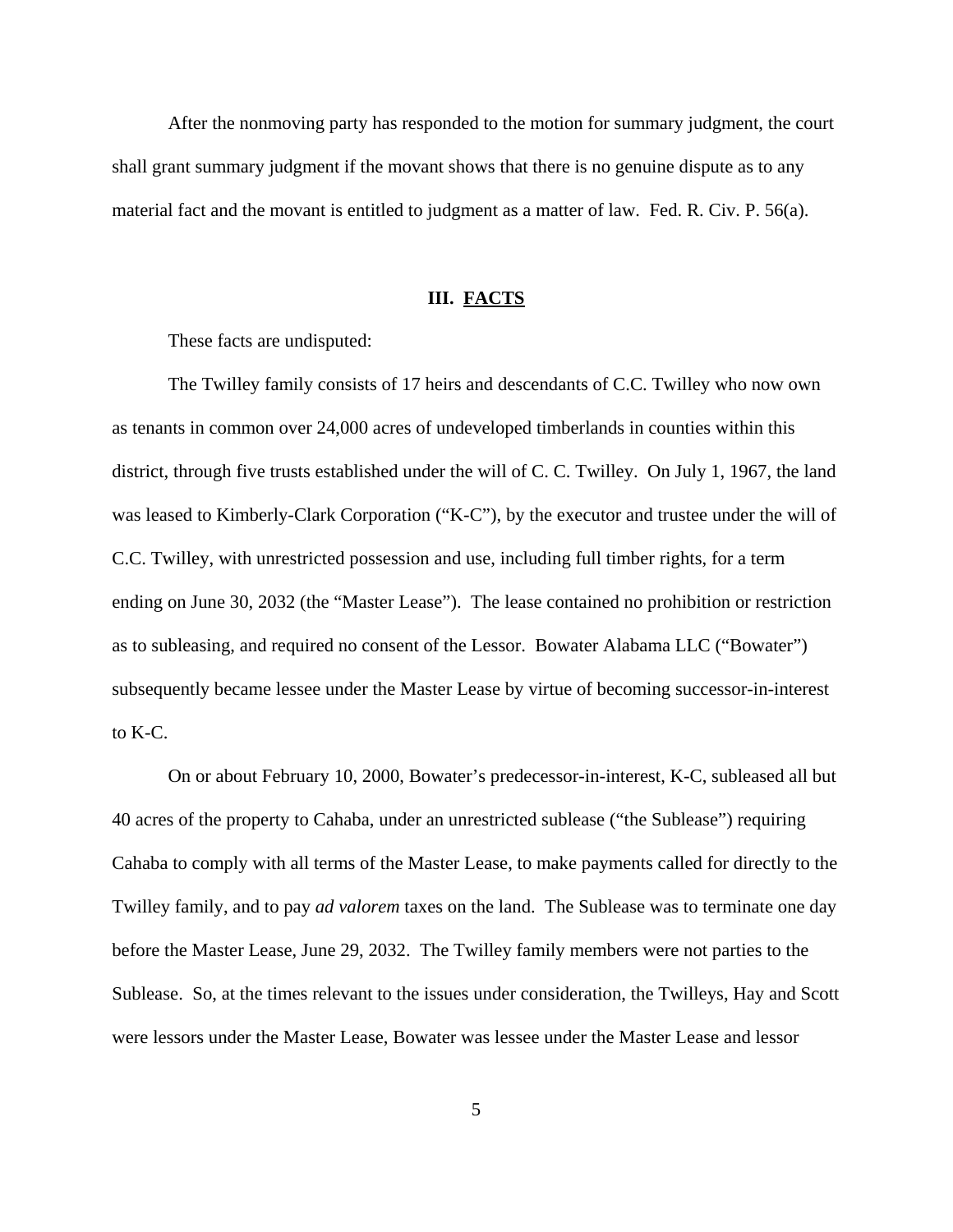After the nonmoving party has responded to the motion for summary judgment, the court shall grant summary judgment if the movant shows that there is no genuine dispute as to any material fact and the movant is entitled to judgment as a matter of law. Fed. R. Civ. P. 56(a).

## **III. FACTS**

These facts are undisputed:

The Twilley family consists of 17 heirs and descendants of C.C. Twilley who now own as tenants in common over 24,000 acres of undeveloped timberlands in counties within this district, through five trusts established under the will of C. C. Twilley. On July 1, 1967, the land was leased to Kimberly-Clark Corporation ("K-C"), by the executor and trustee under the will of C.C. Twilley, with unrestricted possession and use, including full timber rights, for a term ending on June 30, 2032 (the "Master Lease"). The lease contained no prohibition or restriction as to subleasing, and required no consent of the Lessor. Bowater Alabama LLC ("Bowater") subsequently became lessee under the Master Lease by virtue of becoming successor-in-interest to K-C.

On or about February 10, 2000, Bowater's predecessor-in-interest, K-C, subleased all but 40 acres of the property to Cahaba, under an unrestricted sublease ("the Sublease") requiring Cahaba to comply with all terms of the Master Lease, to make payments called for directly to the Twilley family, and to pay *ad valorem* taxes on the land. The Sublease was to terminate one day before the Master Lease, June 29, 2032. The Twilley family members were not parties to the Sublease. So, at the times relevant to the issues under consideration, the Twilleys, Hay and Scott were lessors under the Master Lease, Bowater was lessee under the Master Lease and lessor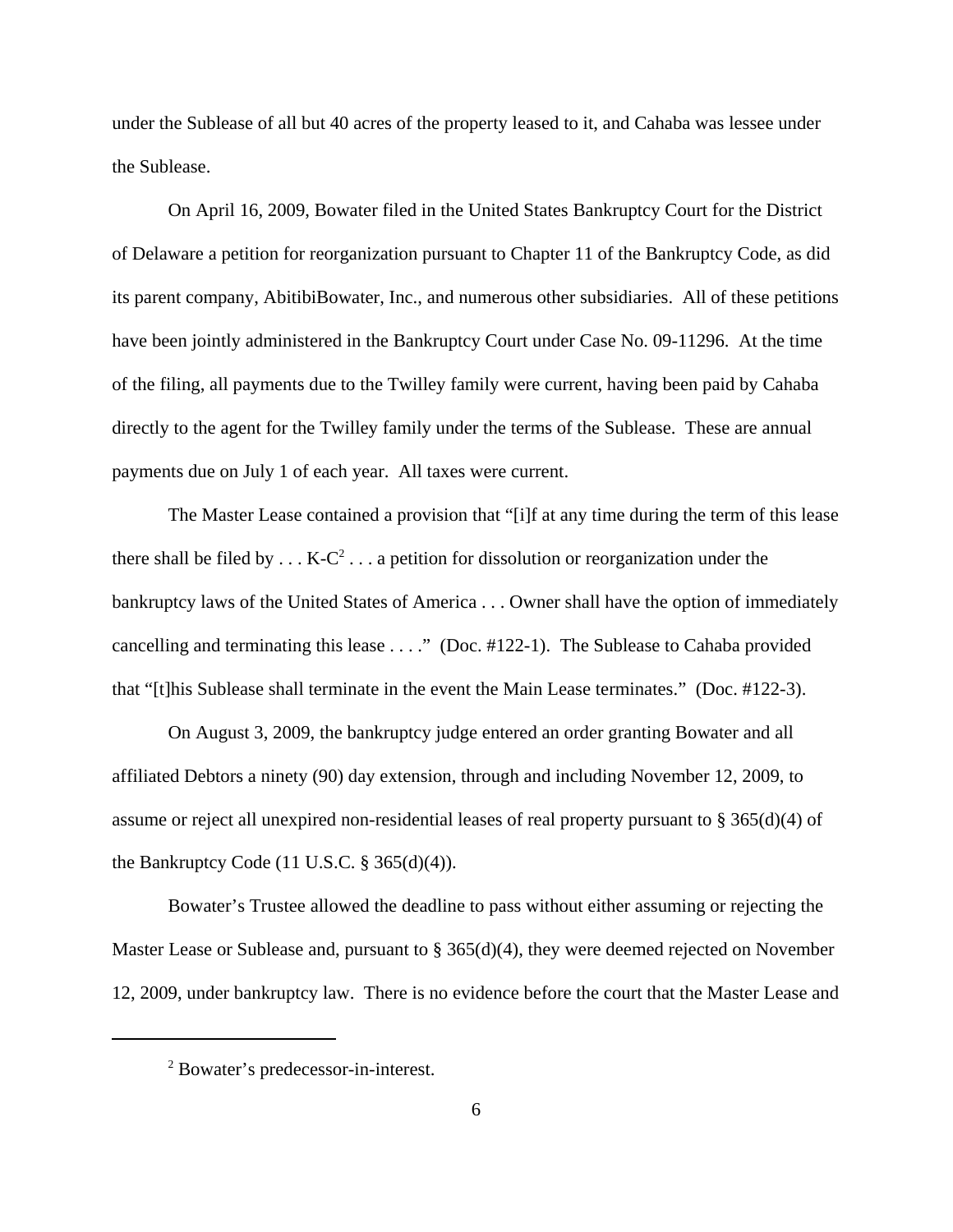under the Sublease of all but 40 acres of the property leased to it, and Cahaba was lessee under the Sublease.

On April 16, 2009, Bowater filed in the United States Bankruptcy Court for the District of Delaware a petition for reorganization pursuant to Chapter 11 of the Bankruptcy Code, as did its parent company, AbitibiBowater, Inc., and numerous other subsidiaries. All of these petitions have been jointly administered in the Bankruptcy Court under Case No. 09-11296. At the time of the filing, all payments due to the Twilley family were current, having been paid by Cahaba directly to the agent for the Twilley family under the terms of the Sublease. These are annual payments due on July 1 of each year. All taxes were current.

The Master Lease contained a provision that "[i]f at any time during the term of this lease there shall be filed by  $\dots$  K-C<sup>2</sup>  $\dots$  a petition for dissolution or reorganization under the bankruptcy laws of the United States of America . . . Owner shall have the option of immediately cancelling and terminating this lease . . . ." (Doc. #122-1). The Sublease to Cahaba provided that "[t]his Sublease shall terminate in the event the Main Lease terminates." (Doc. #122-3).

On August 3, 2009, the bankruptcy judge entered an order granting Bowater and all affiliated Debtors a ninety (90) day extension, through and including November 12, 2009, to assume or reject all unexpired non-residential leases of real property pursuant to  $\S 365(d)(4)$  of the Bankruptcy Code  $(11 \text{ U.S.C. } § 365(d)(4))$ .

Bowater's Trustee allowed the deadline to pass without either assuming or rejecting the Master Lease or Sublease and, pursuant to § 365(d)(4), they were deemed rejected on November 12, 2009, under bankruptcy law. There is no evidence before the court that the Master Lease and

<sup>2</sup> Bowater's predecessor-in-interest.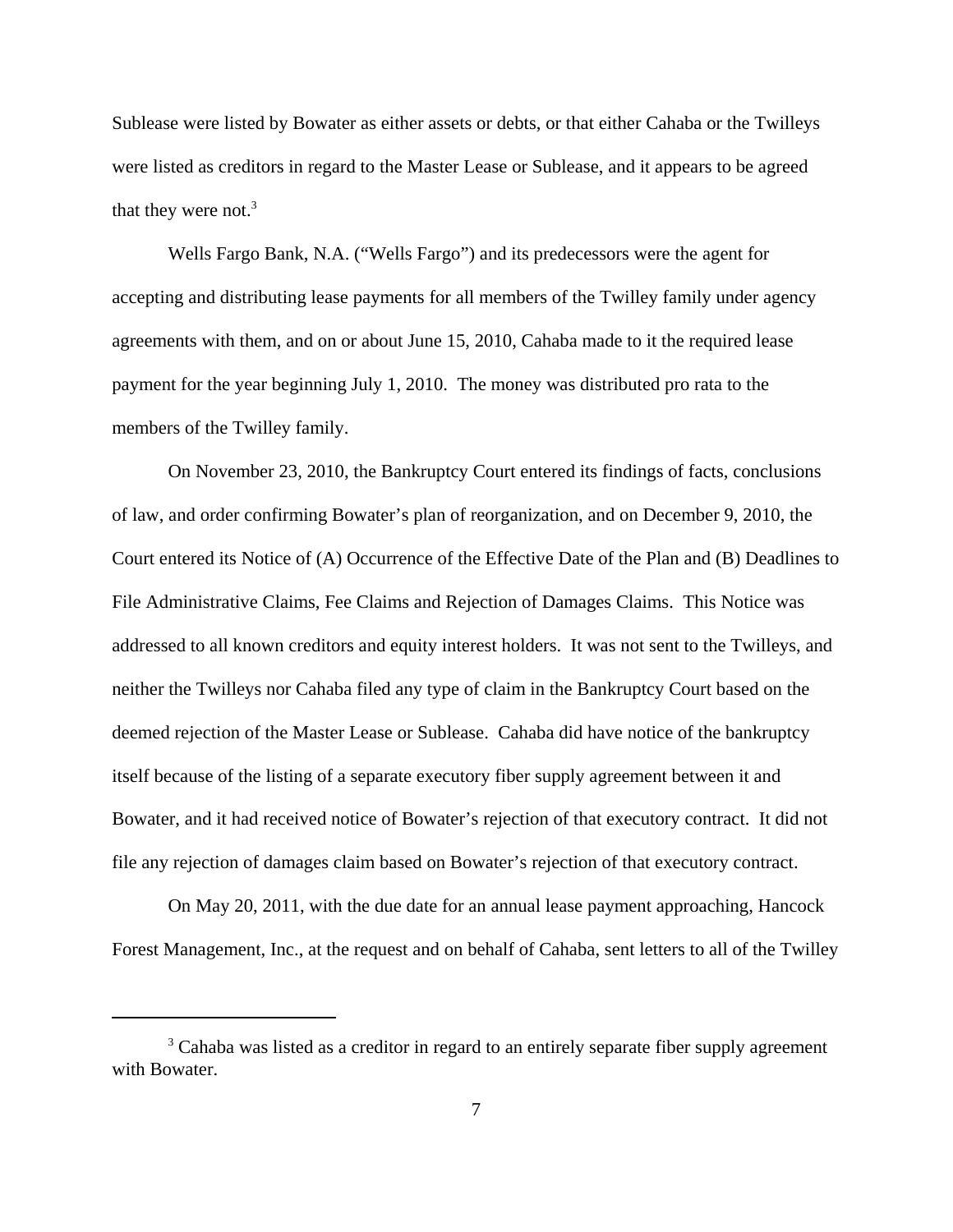Sublease were listed by Bowater as either assets or debts, or that either Cahaba or the Twilleys were listed as creditors in regard to the Master Lease or Sublease, and it appears to be agreed that they were not.<sup>3</sup>

Wells Fargo Bank, N.A. ("Wells Fargo") and its predecessors were the agent for accepting and distributing lease payments for all members of the Twilley family under agency agreements with them, and on or about June 15, 2010, Cahaba made to it the required lease payment for the year beginning July 1, 2010. The money was distributed pro rata to the members of the Twilley family.

On November 23, 2010, the Bankruptcy Court entered its findings of facts, conclusions of law, and order confirming Bowater's plan of reorganization, and on December 9, 2010, the Court entered its Notice of (A) Occurrence of the Effective Date of the Plan and (B) Deadlines to File Administrative Claims, Fee Claims and Rejection of Damages Claims. This Notice was addressed to all known creditors and equity interest holders. It was not sent to the Twilleys, and neither the Twilleys nor Cahaba filed any type of claim in the Bankruptcy Court based on the deemed rejection of the Master Lease or Sublease. Cahaba did have notice of the bankruptcy itself because of the listing of a separate executory fiber supply agreement between it and Bowater, and it had received notice of Bowater's rejection of that executory contract. It did not file any rejection of damages claim based on Bowater's rejection of that executory contract.

On May 20, 2011, with the due date for an annual lease payment approaching, Hancock Forest Management, Inc., at the request and on behalf of Cahaba, sent letters to all of the Twilley

<sup>&</sup>lt;sup>3</sup> Cahaba was listed as a creditor in regard to an entirely separate fiber supply agreement with Bowater.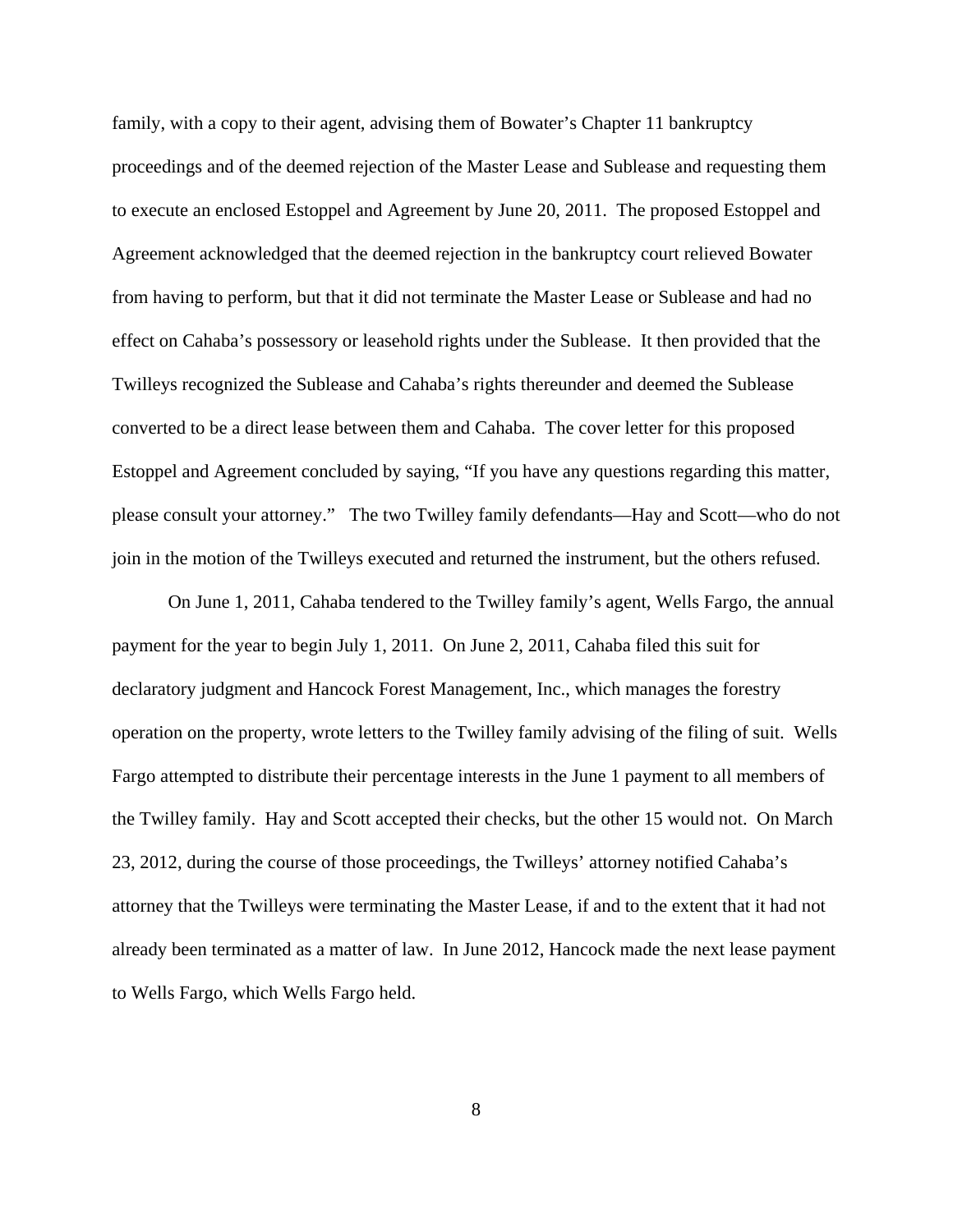family, with a copy to their agent, advising them of Bowater's Chapter 11 bankruptcy proceedings and of the deemed rejection of the Master Lease and Sublease and requesting them to execute an enclosed Estoppel and Agreement by June 20, 2011. The proposed Estoppel and Agreement acknowledged that the deemed rejection in the bankruptcy court relieved Bowater from having to perform, but that it did not terminate the Master Lease or Sublease and had no effect on Cahaba's possessory or leasehold rights under the Sublease. It then provided that the Twilleys recognized the Sublease and Cahaba's rights thereunder and deemed the Sublease converted to be a direct lease between them and Cahaba. The cover letter for this proposed Estoppel and Agreement concluded by saying, "If you have any questions regarding this matter, please consult your attorney." The two Twilley family defendants—Hay and Scott—who do not join in the motion of the Twilleys executed and returned the instrument, but the others refused.

On June 1, 2011, Cahaba tendered to the Twilley family's agent, Wells Fargo, the annual payment for the year to begin July 1, 2011. On June 2, 2011, Cahaba filed this suit for declaratory judgment and Hancock Forest Management, Inc., which manages the forestry operation on the property, wrote letters to the Twilley family advising of the filing of suit. Wells Fargo attempted to distribute their percentage interests in the June 1 payment to all members of the Twilley family. Hay and Scott accepted their checks, but the other 15 would not. On March 23, 2012, during the course of those proceedings, the Twilleys' attorney notified Cahaba's attorney that the Twilleys were terminating the Master Lease, if and to the extent that it had not already been terminated as a matter of law. In June 2012, Hancock made the next lease payment to Wells Fargo, which Wells Fargo held.

8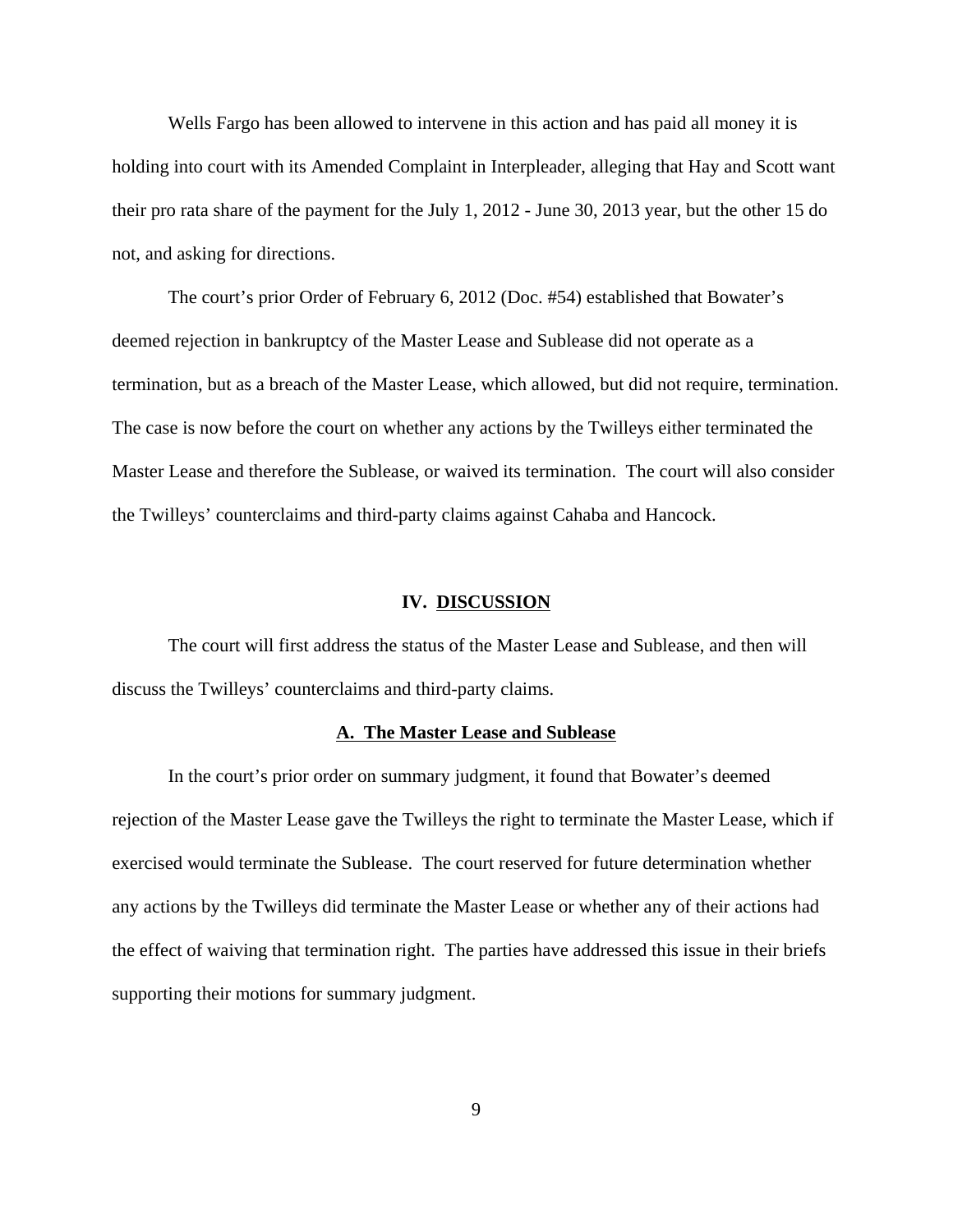Wells Fargo has been allowed to intervene in this action and has paid all money it is holding into court with its Amended Complaint in Interpleader, alleging that Hay and Scott want their pro rata share of the payment for the July 1, 2012 - June 30, 2013 year, but the other 15 do not, and asking for directions.

The court's prior Order of February 6, 2012 (Doc. #54) established that Bowater's deemed rejection in bankruptcy of the Master Lease and Sublease did not operate as a termination, but as a breach of the Master Lease, which allowed, but did not require, termination. The case is now before the court on whether any actions by the Twilleys either terminated the Master Lease and therefore the Sublease, or waived its termination. The court will also consider the Twilleys' counterclaims and third-party claims against Cahaba and Hancock.

## **IV. DISCUSSION**

The court will first address the status of the Master Lease and Sublease, and then will discuss the Twilleys' counterclaims and third-party claims.

# **A. The Master Lease and Sublease**

In the court's prior order on summary judgment, it found that Bowater's deemed rejection of the Master Lease gave the Twilleys the right to terminate the Master Lease, which if exercised would terminate the Sublease. The court reserved for future determination whether any actions by the Twilleys did terminate the Master Lease or whether any of their actions had the effect of waiving that termination right. The parties have addressed this issue in their briefs supporting their motions for summary judgment.

9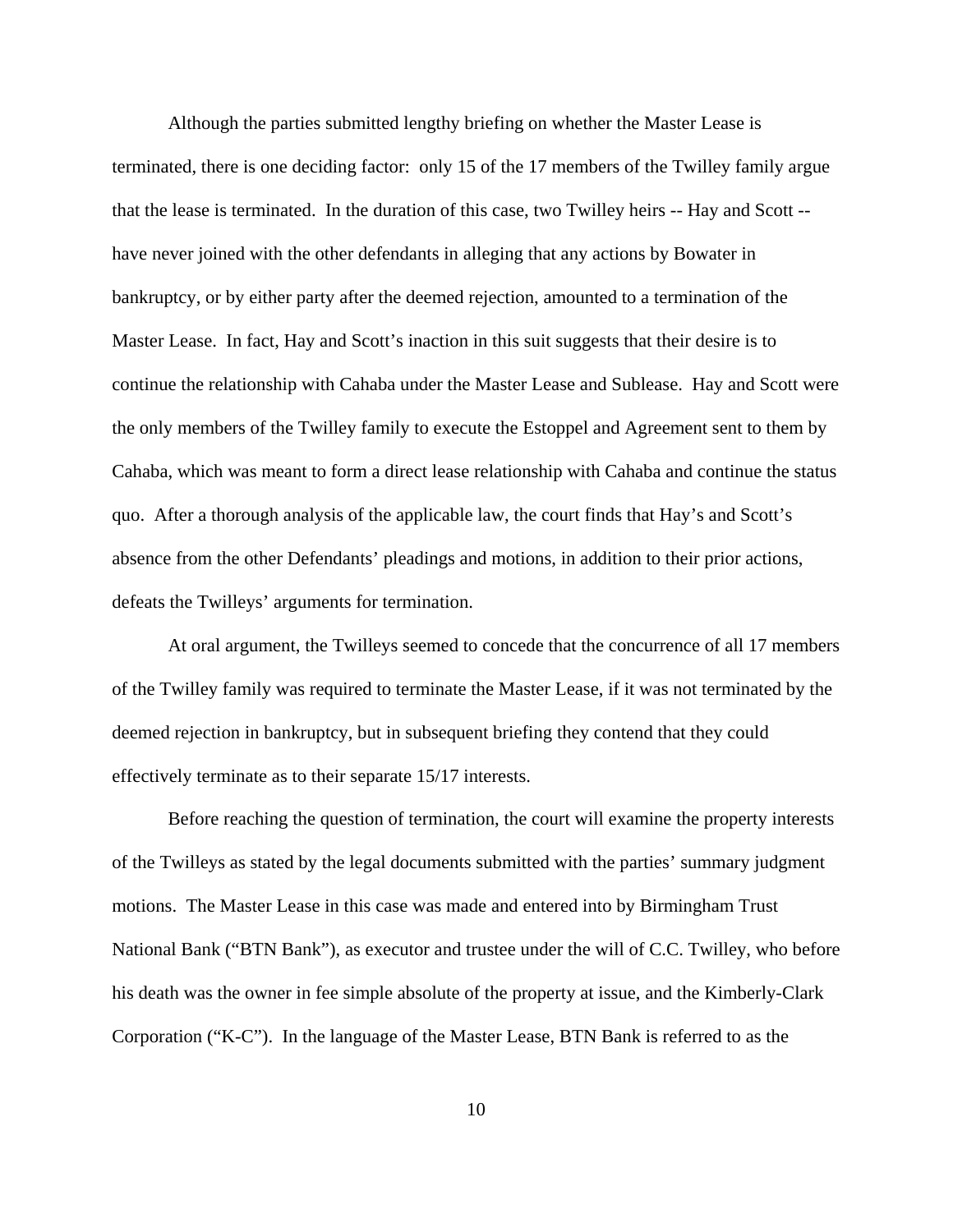Although the parties submitted lengthy briefing on whether the Master Lease is terminated, there is one deciding factor: only 15 of the 17 members of the Twilley family argue that the lease is terminated. In the duration of this case, two Twilley heirs -- Hay and Scott - have never joined with the other defendants in alleging that any actions by Bowater in bankruptcy, or by either party after the deemed rejection, amounted to a termination of the Master Lease. In fact, Hay and Scott's inaction in this suit suggests that their desire is to continue the relationship with Cahaba under the Master Lease and Sublease. Hay and Scott were the only members of the Twilley family to execute the Estoppel and Agreement sent to them by Cahaba, which was meant to form a direct lease relationship with Cahaba and continue the status quo. After a thorough analysis of the applicable law, the court finds that Hay's and Scott's absence from the other Defendants' pleadings and motions, in addition to their prior actions, defeats the Twilleys' arguments for termination.

At oral argument, the Twilleys seemed to concede that the concurrence of all 17 members of the Twilley family was required to terminate the Master Lease, if it was not terminated by the deemed rejection in bankruptcy, but in subsequent briefing they contend that they could effectively terminate as to their separate 15/17 interests.

Before reaching the question of termination, the court will examine the property interests of the Twilleys as stated by the legal documents submitted with the parties' summary judgment motions. The Master Lease in this case was made and entered into by Birmingham Trust National Bank ("BTN Bank"), as executor and trustee under the will of C.C. Twilley, who before his death was the owner in fee simple absolute of the property at issue, and the Kimberly-Clark Corporation ("K-C"). In the language of the Master Lease, BTN Bank is referred to as the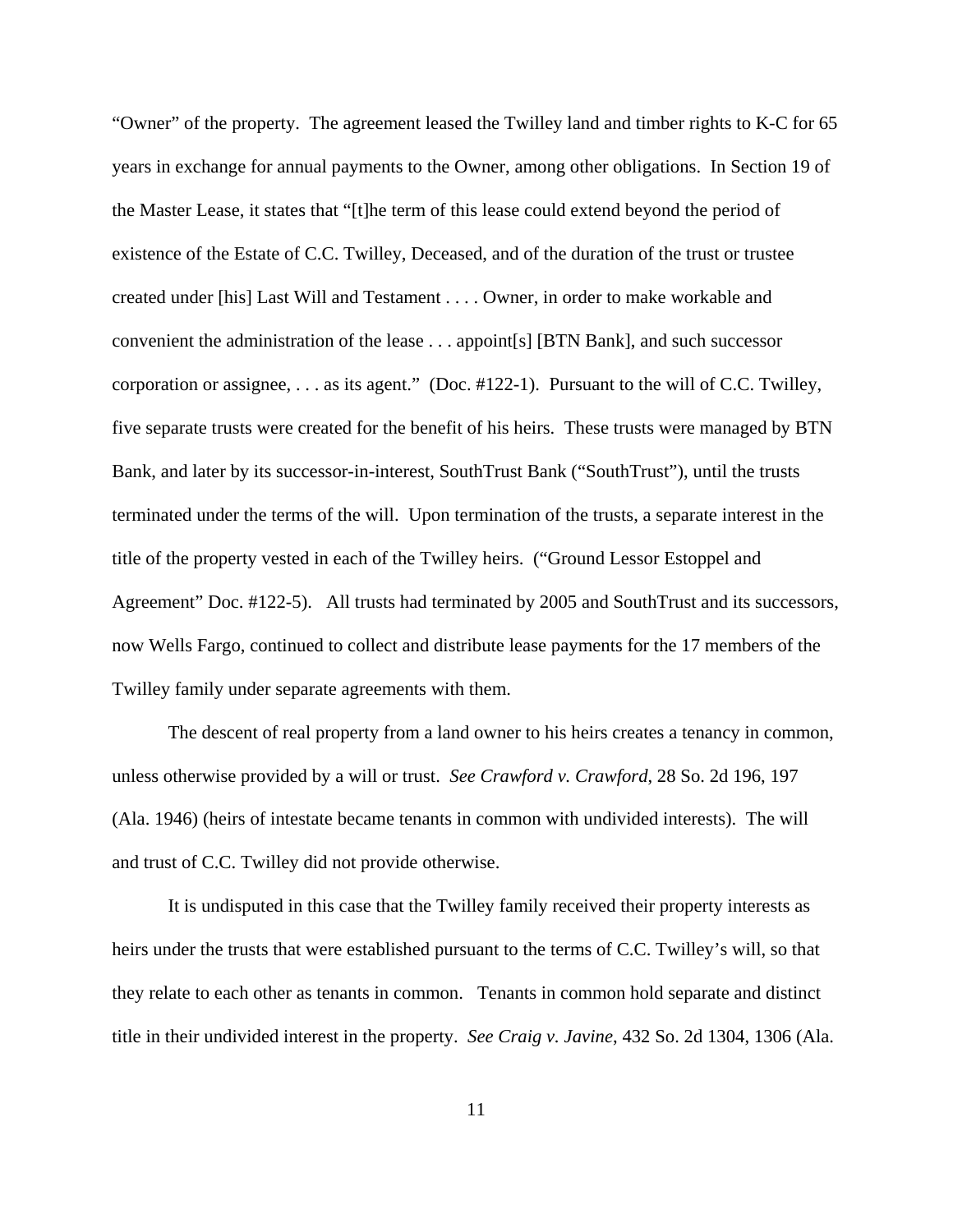"Owner" of the property. The agreement leased the Twilley land and timber rights to K-C for 65 years in exchange for annual payments to the Owner, among other obligations. In Section 19 of the Master Lease, it states that "[t]he term of this lease could extend beyond the period of existence of the Estate of C.C. Twilley, Deceased, and of the duration of the trust or trustee created under [his] Last Will and Testament . . . . Owner, in order to make workable and convenient the administration of the lease . . . appoint[s] [BTN Bank], and such successor corporation or assignee, . . . as its agent." (Doc. #122-1). Pursuant to the will of C.C. Twilley, five separate trusts were created for the benefit of his heirs. These trusts were managed by BTN Bank, and later by its successor-in-interest, SouthTrust Bank ("SouthTrust"), until the trusts terminated under the terms of the will. Upon termination of the trusts, a separate interest in the title of the property vested in each of the Twilley heirs. ("Ground Lessor Estoppel and Agreement" Doc. #122-5). All trusts had terminated by 2005 and SouthTrust and its successors, now Wells Fargo, continued to collect and distribute lease payments for the 17 members of the Twilley family under separate agreements with them.

The descent of real property from a land owner to his heirs creates a tenancy in common, unless otherwise provided by a will or trust. *See Crawford v. Crawford*, 28 So. 2d 196, 197 (Ala. 1946) (heirs of intestate became tenants in common with undivided interests). The will and trust of C.C. Twilley did not provide otherwise.

It is undisputed in this case that the Twilley family received their property interests as heirs under the trusts that were established pursuant to the terms of C.C. Twilley's will, so that they relate to each other as tenants in common. Tenants in common hold separate and distinct title in their undivided interest in the property. *See Craig v. Javine*, 432 So. 2d 1304, 1306 (Ala.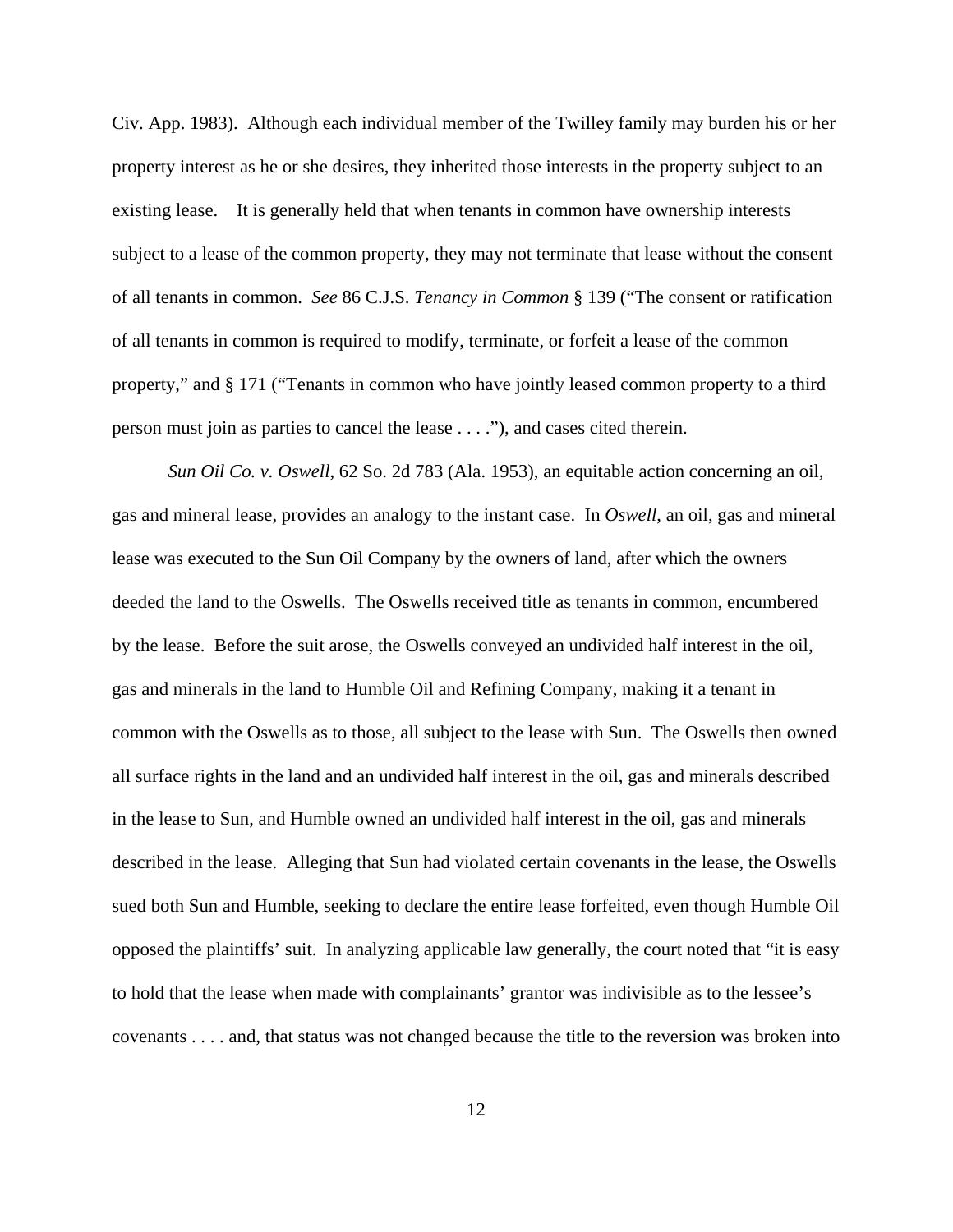Civ. App. 1983). Although each individual member of the Twilley family may burden his or her property interest as he or she desires, they inherited those interests in the property subject to an existing lease. It is generally held that when tenants in common have ownership interests subject to a lease of the common property, they may not terminate that lease without the consent of all tenants in common. *See* 86 C.J.S. *Tenancy in Common* § 139 ("The consent or ratification of all tenants in common is required to modify, terminate, or forfeit a lease of the common property," and § 171 ("Tenants in common who have jointly leased common property to a third person must join as parties to cancel the lease . . . ."), and cases cited therein.

*Sun Oil Co. v. Oswell*, 62 So. 2d 783 (Ala. 1953), an equitable action concerning an oil, gas and mineral lease, provides an analogy to the instant case. In *Oswell*, an oil, gas and mineral lease was executed to the Sun Oil Company by the owners of land, after which the owners deeded the land to the Oswells. The Oswells received title as tenants in common, encumbered by the lease. Before the suit arose, the Oswells conveyed an undivided half interest in the oil, gas and minerals in the land to Humble Oil and Refining Company, making it a tenant in common with the Oswells as to those, all subject to the lease with Sun. The Oswells then owned all surface rights in the land and an undivided half interest in the oil, gas and minerals described in the lease to Sun, and Humble owned an undivided half interest in the oil, gas and minerals described in the lease. Alleging that Sun had violated certain covenants in the lease, the Oswells sued both Sun and Humble, seeking to declare the entire lease forfeited, even though Humble Oil opposed the plaintiffs' suit. In analyzing applicable law generally, the court noted that "it is easy to hold that the lease when made with complainants' grantor was indivisible as to the lessee's covenants . . . . and, that status was not changed because the title to the reversion was broken into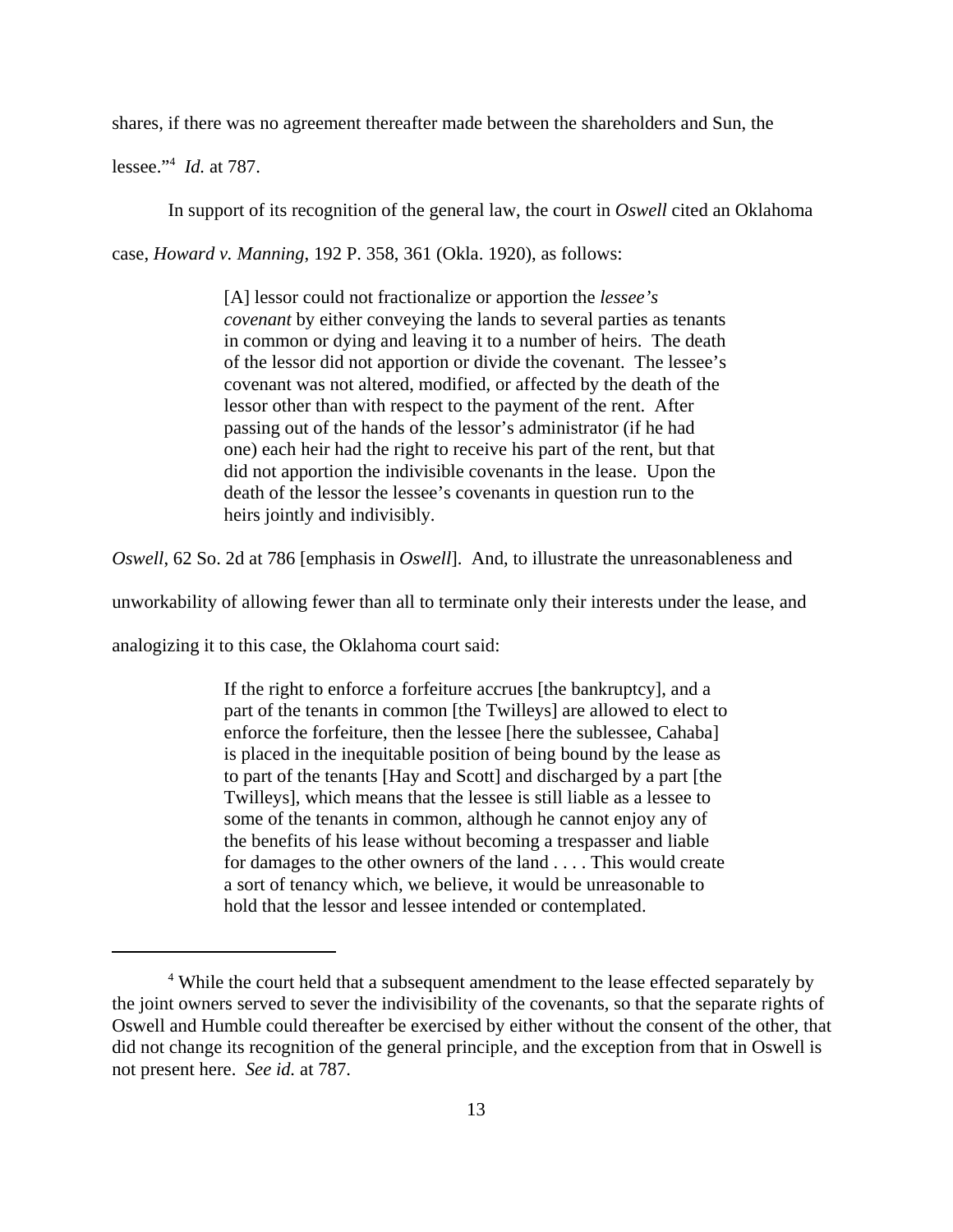shares, if there was no agreement thereafter made between the shareholders and Sun, the

lessee."4 *Id.* at 787.

In support of its recognition of the general law, the court in *Oswell* cited an Oklahoma

case, *Howard v. Manning*, 192 P. 358, 361 (Okla. 1920), as follows:

[A] lessor could not fractionalize or apportion the *lessee's covenant* by either conveying the lands to several parties as tenants in common or dying and leaving it to a number of heirs. The death of the lessor did not apportion or divide the covenant. The lessee's covenant was not altered, modified, or affected by the death of the lessor other than with respect to the payment of the rent. After passing out of the hands of the lessor's administrator (if he had one) each heir had the right to receive his part of the rent, but that did not apportion the indivisible covenants in the lease. Upon the death of the lessor the lessee's covenants in question run to the heirs jointly and indivisibly.

*Oswell*, 62 So. 2d at 786 [emphasis in *Oswell*]. And, to illustrate the unreasonableness and

unworkability of allowing fewer than all to terminate only their interests under the lease, and

analogizing it to this case, the Oklahoma court said:

If the right to enforce a forfeiture accrues [the bankruptcy], and a part of the tenants in common [the Twilleys] are allowed to elect to enforce the forfeiture, then the lessee [here the sublessee, Cahaba] is placed in the inequitable position of being bound by the lease as to part of the tenants [Hay and Scott] and discharged by a part [the Twilleys], which means that the lessee is still liable as a lessee to some of the tenants in common, although he cannot enjoy any of the benefits of his lease without becoming a trespasser and liable for damages to the other owners of the land . . . . This would create a sort of tenancy which, we believe, it would be unreasonable to hold that the lessor and lessee intended or contemplated.

<sup>&</sup>lt;sup>4</sup> While the court held that a subsequent amendment to the lease effected separately by the joint owners served to sever the indivisibility of the covenants, so that the separate rights of Oswell and Humble could thereafter be exercised by either without the consent of the other, that did not change its recognition of the general principle, and the exception from that in Oswell is not present here. *See id.* at 787.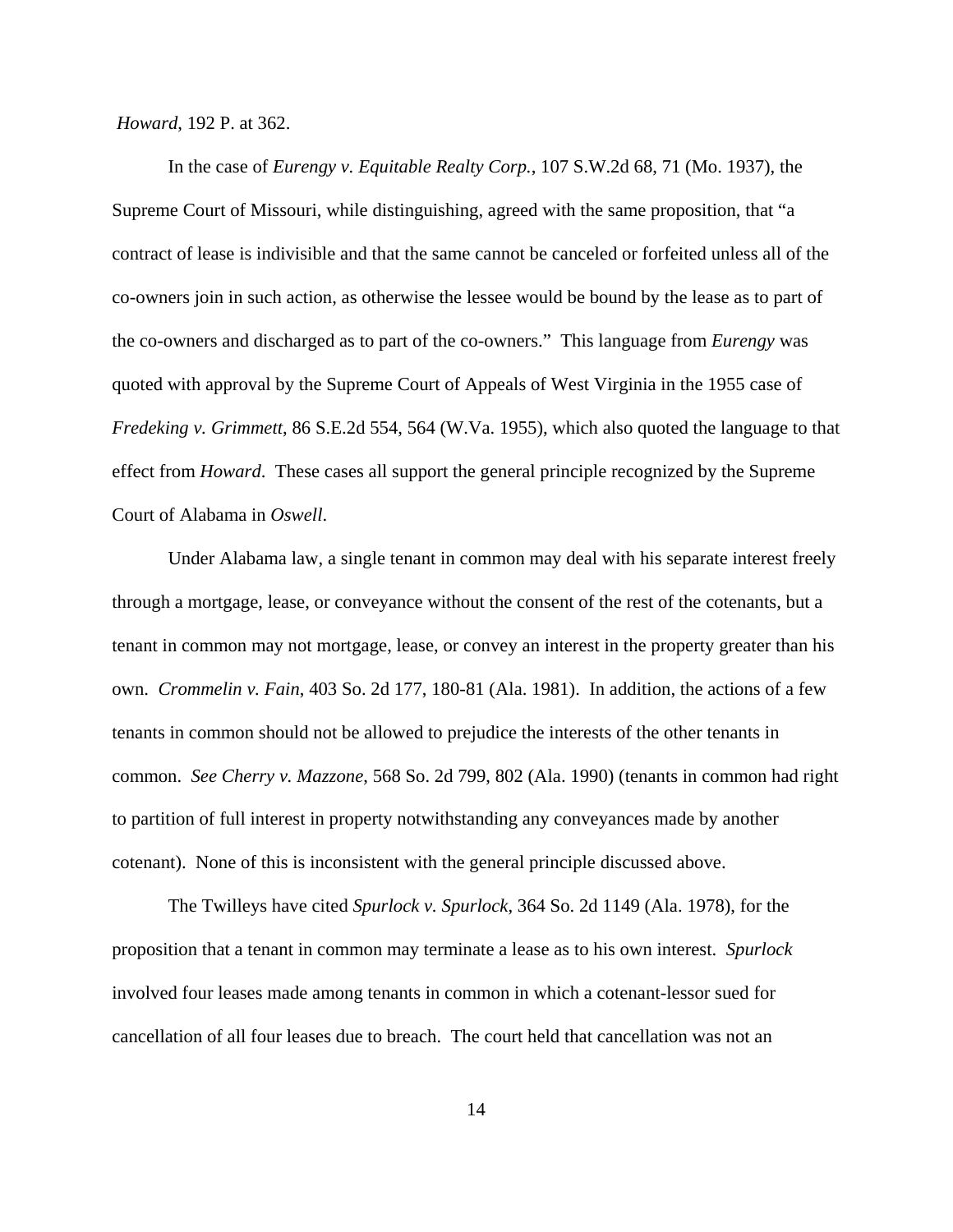*Howard*, 192 P. at 362.

In the case of *Eurengy v. Equitable Realty Corp.*, 107 S.W.2d 68, 71 (Mo. 1937), the Supreme Court of Missouri, while distinguishing, agreed with the same proposition, that "a contract of lease is indivisible and that the same cannot be canceled or forfeited unless all of the co-owners join in such action, as otherwise the lessee would be bound by the lease as to part of the co-owners and discharged as to part of the co-owners." This language from *Eurengy* was quoted with approval by the Supreme Court of Appeals of West Virginia in the 1955 case of *Fredeking v. Grimmett*, 86 S.E.2d 554, 564 (W.Va. 1955), which also quoted the language to that effect from *Howard*. These cases all support the general principle recognized by the Supreme Court of Alabama in *Oswell*.

Under Alabama law, a single tenant in common may deal with his separate interest freely through a mortgage, lease, or conveyance without the consent of the rest of the cotenants, but a tenant in common may not mortgage, lease, or convey an interest in the property greater than his own. *Crommelin v. Fain*, 403 So. 2d 177, 180-81 (Ala. 1981). In addition, the actions of a few tenants in common should not be allowed to prejudice the interests of the other tenants in common. *See Cherry v. Mazzone*, 568 So. 2d 799, 802 (Ala. 1990) (tenants in common had right to partition of full interest in property notwithstanding any conveyances made by another cotenant). None of this is inconsistent with the general principle discussed above.

The Twilleys have cited *Spurlock v. Spurlock*, 364 So. 2d 1149 (Ala. 1978), for the proposition that a tenant in common may terminate a lease as to his own interest. *Spurlock* involved four leases made among tenants in common in which a cotenant-lessor sued for cancellation of all four leases due to breach. The court held that cancellation was not an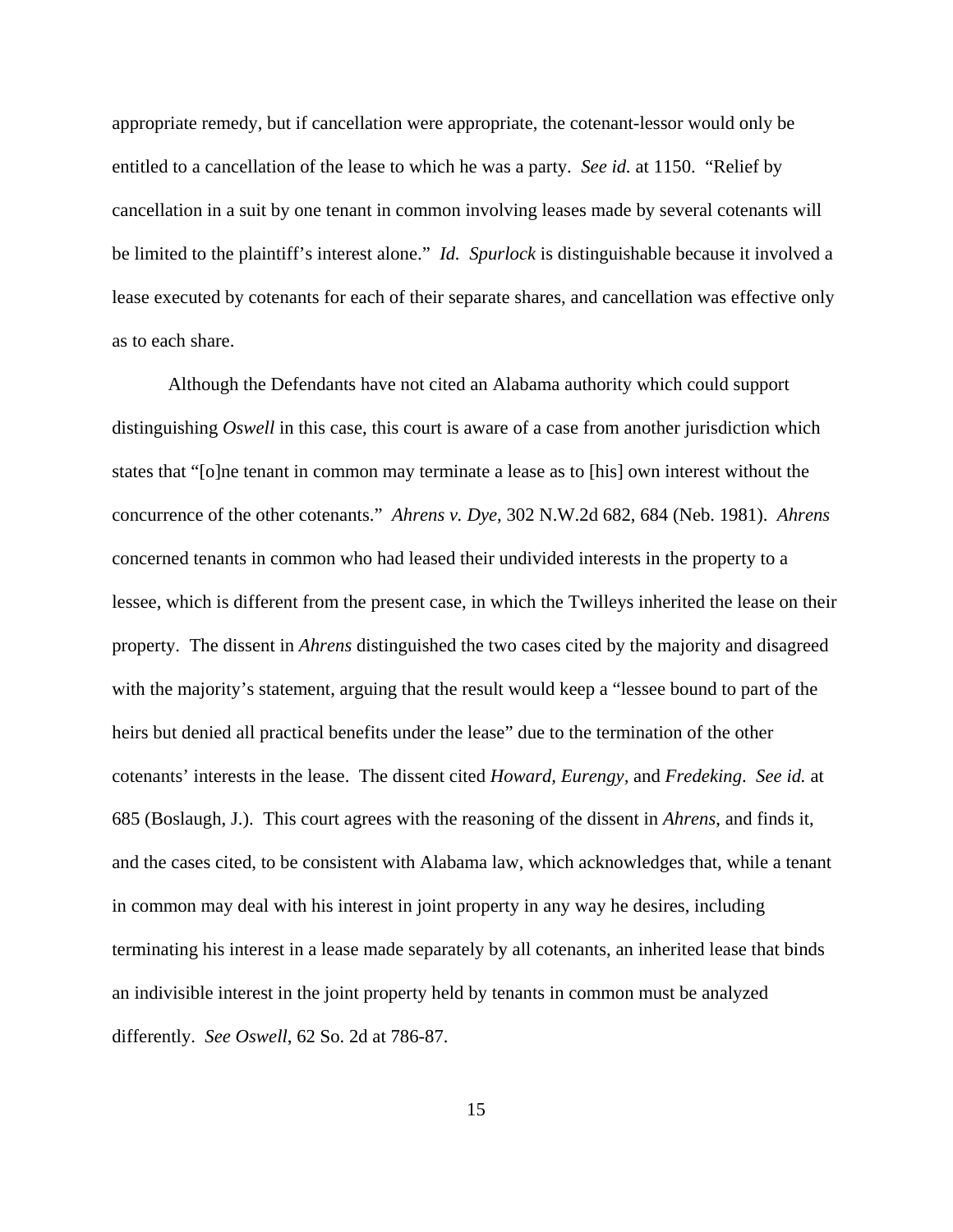appropriate remedy, but if cancellation were appropriate, the cotenant-lessor would only be entitled to a cancellation of the lease to which he was a party. *See id.* at 1150. "Relief by cancellation in a suit by one tenant in common involving leases made by several cotenants will be limited to the plaintiff's interest alone." *Id. Spurlock* is distinguishable because it involved a lease executed by cotenants for each of their separate shares, and cancellation was effective only as to each share.

Although the Defendants have not cited an Alabama authority which could support distinguishing *Oswell* in this case, this court is aware of a case from another jurisdiction which states that "[o]ne tenant in common may terminate a lease as to [his] own interest without the concurrence of the other cotenants." *Ahrens v. Dye*, 302 N.W.2d 682, 684 (Neb. 1981). *Ahrens* concerned tenants in common who had leased their undivided interests in the property to a lessee, which is different from the present case, in which the Twilleys inherited the lease on their property. The dissent in *Ahrens* distinguished the two cases cited by the majority and disagreed with the majority's statement, arguing that the result would keep a "lessee bound to part of the heirs but denied all practical benefits under the lease" due to the termination of the other cotenants' interests in the lease. The dissent cited *Howard, Eurengy,* and *Fredeking*. *See id.* at 685 (Boslaugh, J.). This court agrees with the reasoning of the dissent in *Ahrens*, and finds it, and the cases cited, to be consistent with Alabama law, which acknowledges that, while a tenant in common may deal with his interest in joint property in any way he desires, including terminating his interest in a lease made separately by all cotenants, an inherited lease that binds an indivisible interest in the joint property held by tenants in common must be analyzed differently. *See Oswell*, 62 So. 2d at 786-87.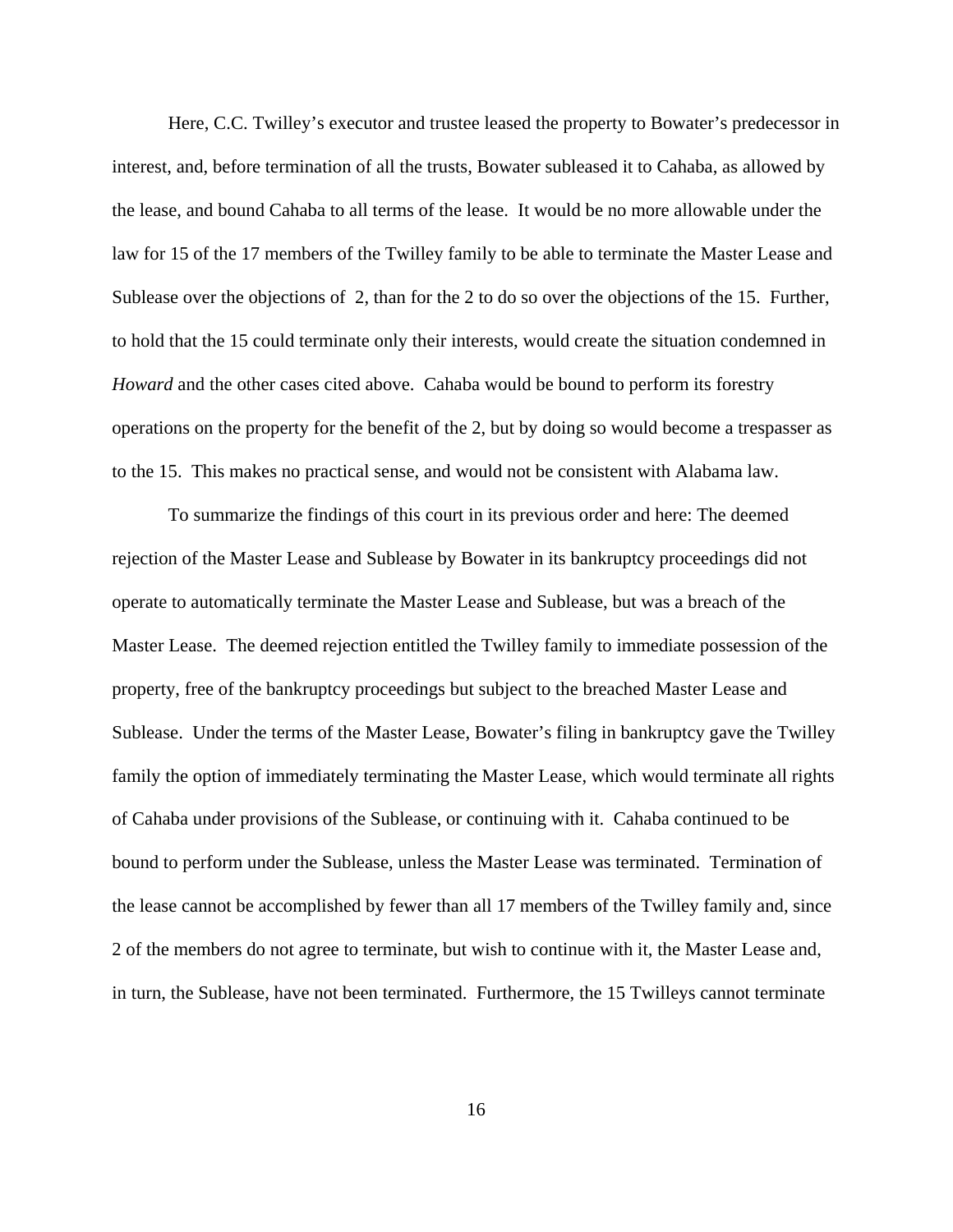Here, C.C. Twilley's executor and trustee leased the property to Bowater's predecessor in interest, and, before termination of all the trusts, Bowater subleased it to Cahaba, as allowed by the lease, and bound Cahaba to all terms of the lease. It would be no more allowable under the law for 15 of the 17 members of the Twilley family to be able to terminate the Master Lease and Sublease over the objections of 2, than for the 2 to do so over the objections of the 15. Further, to hold that the 15 could terminate only their interests, would create the situation condemned in *Howard* and the other cases cited above. Cahaba would be bound to perform its forestry operations on the property for the benefit of the 2, but by doing so would become a trespasser as to the 15. This makes no practical sense, and would not be consistent with Alabama law.

To summarize the findings of this court in its previous order and here: The deemed rejection of the Master Lease and Sublease by Bowater in its bankruptcy proceedings did not operate to automatically terminate the Master Lease and Sublease, but was a breach of the Master Lease. The deemed rejection entitled the Twilley family to immediate possession of the property, free of the bankruptcy proceedings but subject to the breached Master Lease and Sublease. Under the terms of the Master Lease, Bowater's filing in bankruptcy gave the Twilley family the option of immediately terminating the Master Lease, which would terminate all rights of Cahaba under provisions of the Sublease, or continuing with it. Cahaba continued to be bound to perform under the Sublease, unless the Master Lease was terminated. Termination of the lease cannot be accomplished by fewer than all 17 members of the Twilley family and, since 2 of the members do not agree to terminate, but wish to continue with it, the Master Lease and, in turn, the Sublease, have not been terminated. Furthermore, the 15 Twilleys cannot terminate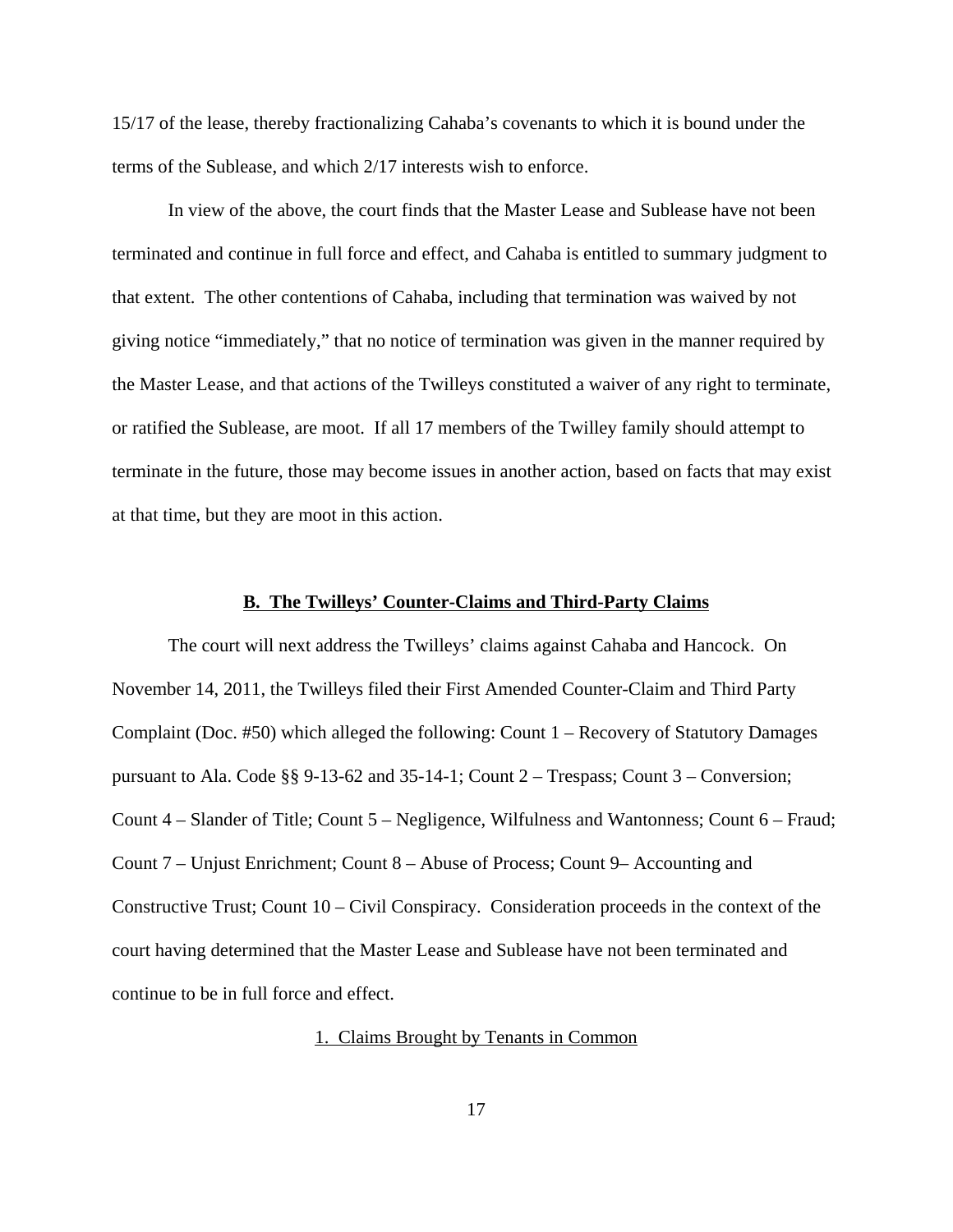15/17 of the lease, thereby fractionalizing Cahaba's covenants to which it is bound under the terms of the Sublease, and which 2/17 interests wish to enforce.

In view of the above, the court finds that the Master Lease and Sublease have not been terminated and continue in full force and effect, and Cahaba is entitled to summary judgment to that extent. The other contentions of Cahaba, including that termination was waived by not giving notice "immediately," that no notice of termination was given in the manner required by the Master Lease, and that actions of the Twilleys constituted a waiver of any right to terminate, or ratified the Sublease, are moot. If all 17 members of the Twilley family should attempt to terminate in the future, those may become issues in another action, based on facts that may exist at that time, but they are moot in this action.

## **B. The Twilleys' Counter-Claims and Third-Party Claims**

The court will next address the Twilleys' claims against Cahaba and Hancock. On November 14, 2011, the Twilleys filed their First Amended Counter-Claim and Third Party Complaint (Doc. #50) which alleged the following: Count 1 – Recovery of Statutory Damages pursuant to Ala. Code  $\S$ § 9-13-62 and 35-14-1; Count 2 – Trespass; Count 3 – Conversion; Count 4 – Slander of Title; Count 5 – Negligence, Wilfulness and Wantonness; Count 6 – Fraud; Count 7 – Unjust Enrichment; Count 8 – Abuse of Process; Count 9– Accounting and Constructive Trust; Count 10 – Civil Conspiracy. Consideration proceeds in the context of the court having determined that the Master Lease and Sublease have not been terminated and continue to be in full force and effect.

1. Claims Brought by Tenants in Common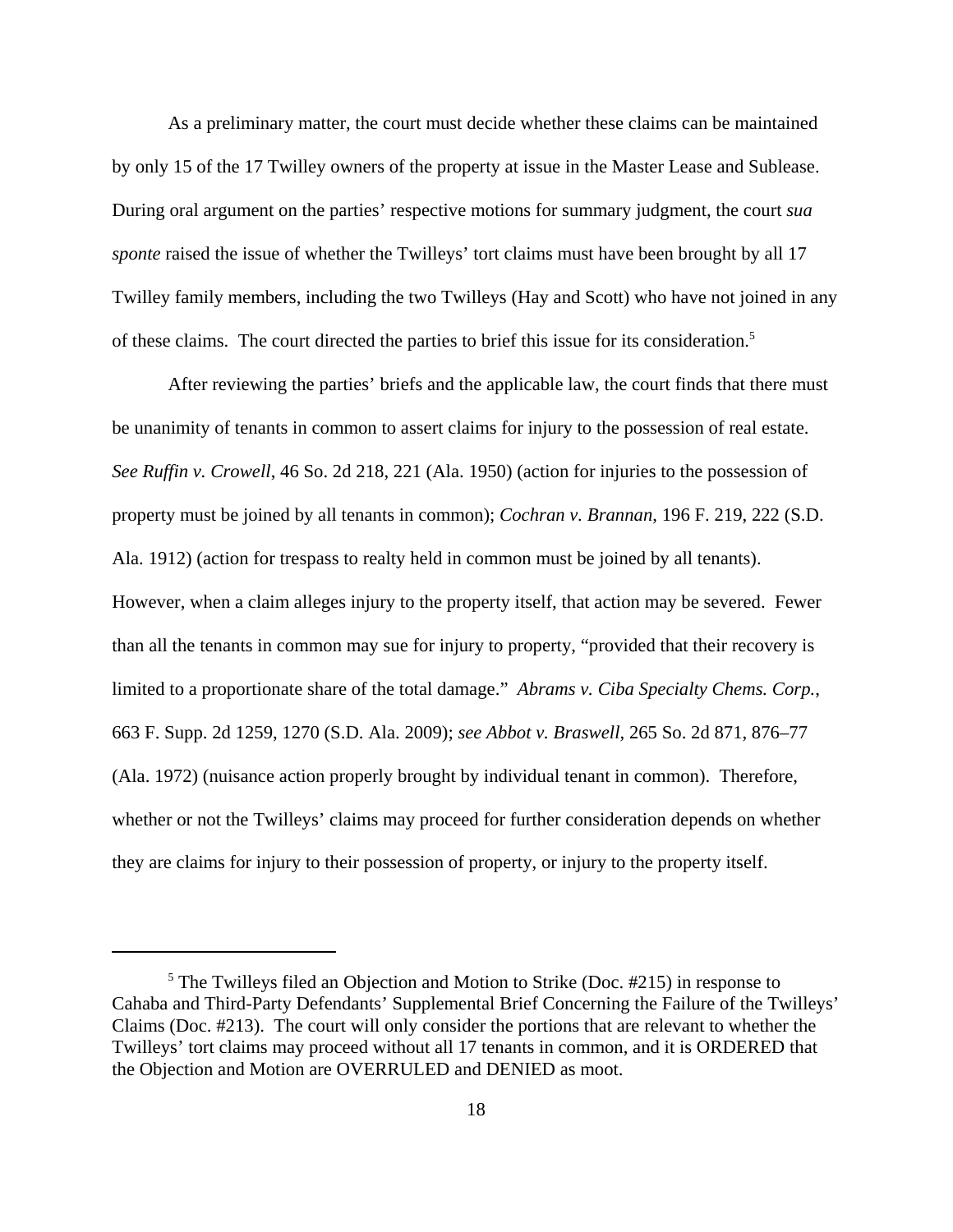As a preliminary matter, the court must decide whether these claims can be maintained by only 15 of the 17 Twilley owners of the property at issue in the Master Lease and Sublease. During oral argument on the parties' respective motions for summary judgment, the court *sua sponte* raised the issue of whether the Twilleys' tort claims must have been brought by all 17 Twilley family members, including the two Twilleys (Hay and Scott) who have not joined in any of these claims. The court directed the parties to brief this issue for its consideration.5

After reviewing the parties' briefs and the applicable law, the court finds that there must be unanimity of tenants in common to assert claims for injury to the possession of real estate. *See Ruffin v. Crowell*, 46 So. 2d 218, 221 (Ala. 1950) (action for injuries to the possession of property must be joined by all tenants in common); *Cochran v. Brannan*, 196 F. 219, 222 (S.D. Ala. 1912) (action for trespass to realty held in common must be joined by all tenants). However, when a claim alleges injury to the property itself, that action may be severed. Fewer than all the tenants in common may sue for injury to property, "provided that their recovery is limited to a proportionate share of the total damage." *Abrams v. Ciba Specialty Chems. Corp.*, 663 F. Supp. 2d 1259, 1270 (S.D. Ala. 2009); *see Abbot v. Braswell*, 265 So. 2d 871, 876–77 (Ala. 1972) (nuisance action properly brought by individual tenant in common). Therefore, whether or not the Twilleys' claims may proceed for further consideration depends on whether they are claims for injury to their possession of property, or injury to the property itself.

<sup>&</sup>lt;sup>5</sup> The Twilleys filed an Objection and Motion to Strike (Doc. #215) in response to Cahaba and Third-Party Defendants' Supplemental Brief Concerning the Failure of the Twilleys' Claims (Doc. #213). The court will only consider the portions that are relevant to whether the Twilleys' tort claims may proceed without all 17 tenants in common, and it is ORDERED that the Objection and Motion are OVERRULED and DENIED as moot.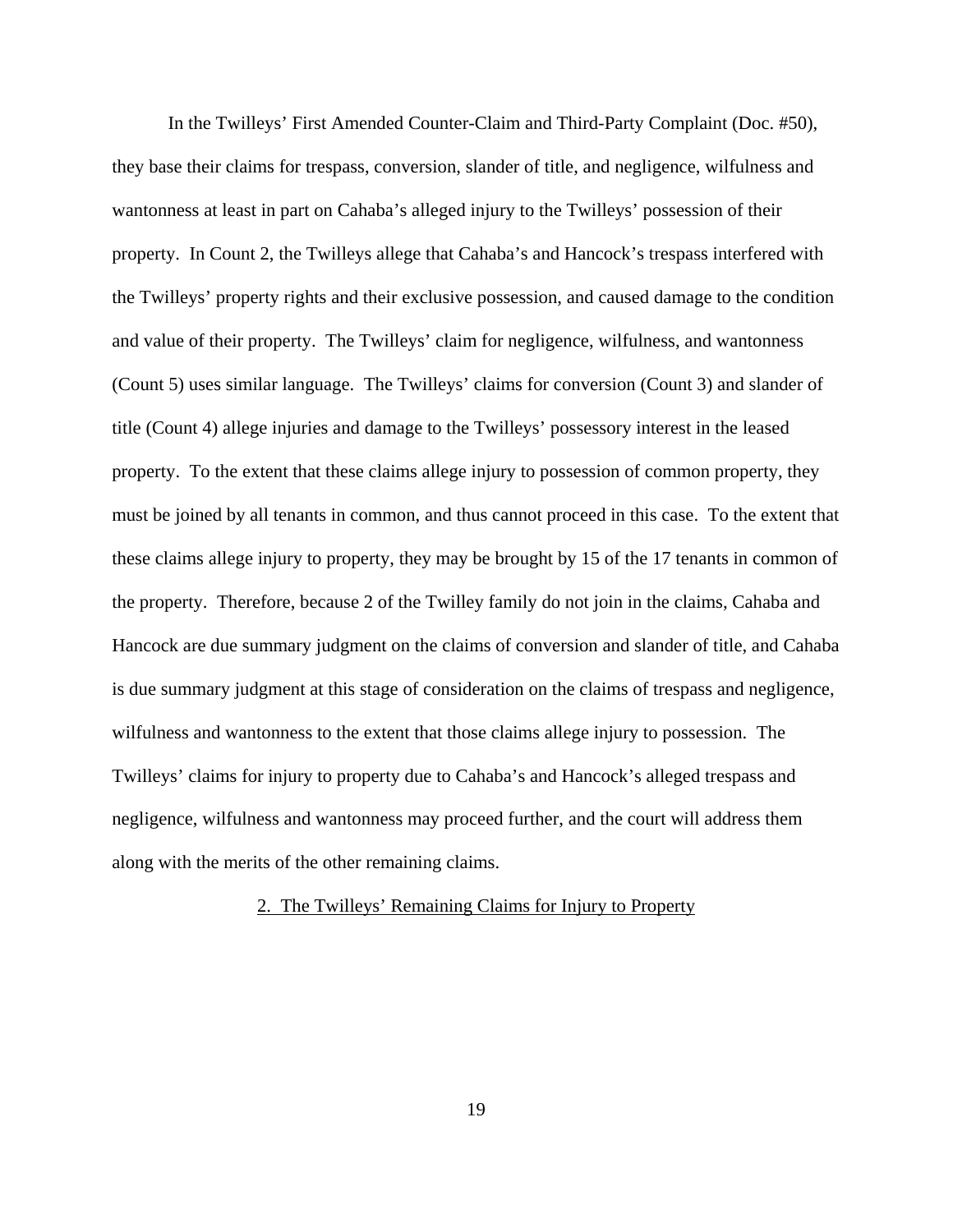In the Twilleys' First Amended Counter-Claim and Third-Party Complaint (Doc. #50), they base their claims for trespass, conversion, slander of title, and negligence, wilfulness and wantonness at least in part on Cahaba's alleged injury to the Twilleys' possession of their property. In Count 2, the Twilleys allege that Cahaba's and Hancock's trespass interfered with the Twilleys' property rights and their exclusive possession, and caused damage to the condition and value of their property. The Twilleys' claim for negligence, wilfulness, and wantonness (Count 5) uses similar language. The Twilleys' claims for conversion (Count 3) and slander of title (Count 4) allege injuries and damage to the Twilleys' possessory interest in the leased property. To the extent that these claims allege injury to possession of common property, they must be joined by all tenants in common, and thus cannot proceed in this case. To the extent that these claims allege injury to property, they may be brought by 15 of the 17 tenants in common of the property. Therefore, because 2 of the Twilley family do not join in the claims, Cahaba and Hancock are due summary judgment on the claims of conversion and slander of title, and Cahaba is due summary judgment at this stage of consideration on the claims of trespass and negligence, wilfulness and wantonness to the extent that those claims allege injury to possession. The Twilleys' claims for injury to property due to Cahaba's and Hancock's alleged trespass and negligence, wilfulness and wantonness may proceed further, and the court will address them along with the merits of the other remaining claims.

# 2. The Twilleys' Remaining Claims for Injury to Property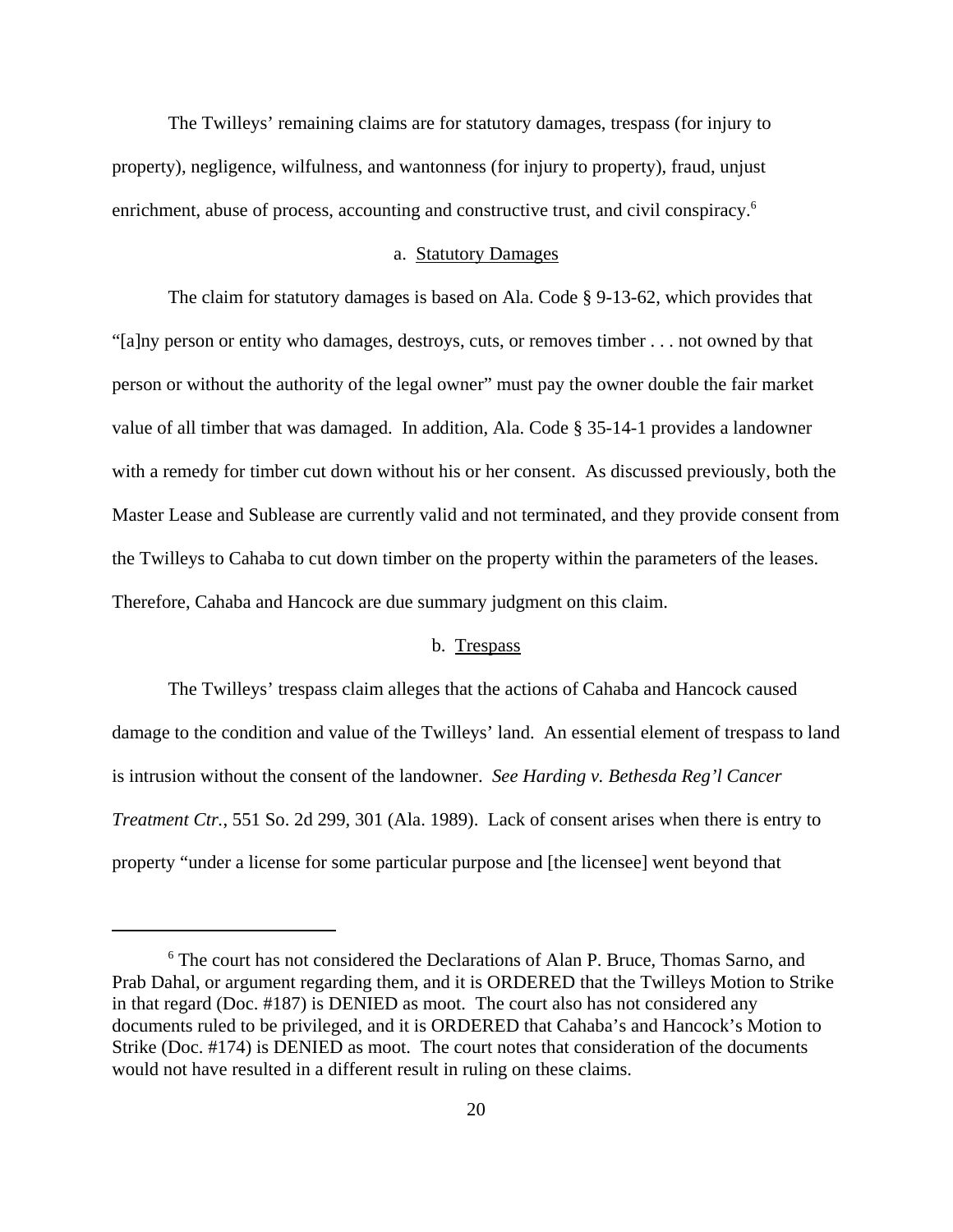The Twilleys' remaining claims are for statutory damages, trespass (for injury to property), negligence, wilfulness, and wantonness (for injury to property), fraud, unjust enrichment, abuse of process, accounting and constructive trust, and civil conspiracy.<sup>6</sup>

## a. Statutory Damages

The claim for statutory damages is based on Ala. Code § 9-13-62, which provides that "[a]ny person or entity who damages, destroys, cuts, or removes timber . . . not owned by that person or without the authority of the legal owner" must pay the owner double the fair market value of all timber that was damaged. In addition, Ala. Code § 35-14-1 provides a landowner with a remedy for timber cut down without his or her consent. As discussed previously, both the Master Lease and Sublease are currently valid and not terminated, and they provide consent from the Twilleys to Cahaba to cut down timber on the property within the parameters of the leases. Therefore, Cahaba and Hancock are due summary judgment on this claim.

## b. Trespass

The Twilleys' trespass claim alleges that the actions of Cahaba and Hancock caused damage to the condition and value of the Twilleys' land. An essential element of trespass to land is intrusion without the consent of the landowner. *See Harding v. Bethesda Reg'l Cancer Treatment Ctr.*, 551 So. 2d 299, 301 (Ala. 1989). Lack of consent arises when there is entry to property "under a license for some particular purpose and [the licensee] went beyond that

<sup>&</sup>lt;sup>6</sup> The court has not considered the Declarations of Alan P. Bruce, Thomas Sarno, and Prab Dahal, or argument regarding them, and it is ORDERED that the Twilleys Motion to Strike in that regard (Doc. #187) is DENIED as moot. The court also has not considered any documents ruled to be privileged, and it is ORDERED that Cahaba's and Hancock's Motion to Strike (Doc. #174) is DENIED as moot. The court notes that consideration of the documents would not have resulted in a different result in ruling on these claims.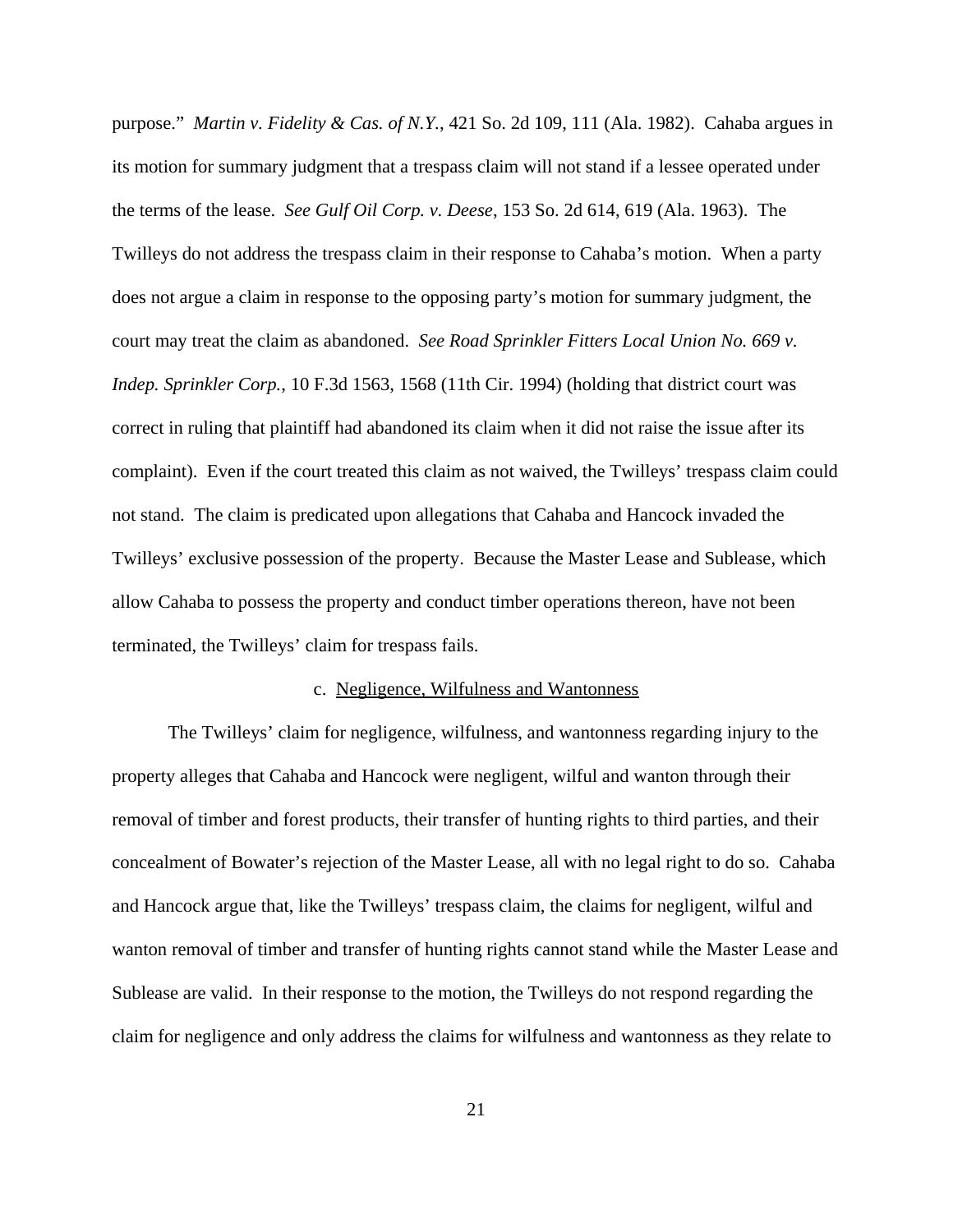purpose." *Martin v. Fidelity & Cas. of N.Y.*, 421 So. 2d 109, 111 (Ala. 1982). Cahaba argues in its motion for summary judgment that a trespass claim will not stand if a lessee operated under the terms of the lease. *See Gulf Oil Corp. v. Deese*, 153 So. 2d 614, 619 (Ala. 1963). The Twilleys do not address the trespass claim in their response to Cahaba's motion. When a party does not argue a claim in response to the opposing party's motion for summary judgment, the court may treat the claim as abandoned. *See Road Sprinkler Fitters Local Union No. 669 v. Indep. Sprinkler Corp.*, 10 F.3d 1563, 1568 (11th Cir. 1994) (holding that district court was correct in ruling that plaintiff had abandoned its claim when it did not raise the issue after its complaint). Even if the court treated this claim as not waived, the Twilleys' trespass claim could not stand. The claim is predicated upon allegations that Cahaba and Hancock invaded the Twilleys' exclusive possession of the property. Because the Master Lease and Sublease, which allow Cahaba to possess the property and conduct timber operations thereon, have not been terminated, the Twilleys' claim for trespass fails.

## c. Negligence, Wilfulness and Wantonness

The Twilleys' claim for negligence, wilfulness, and wantonness regarding injury to the property alleges that Cahaba and Hancock were negligent, wilful and wanton through their removal of timber and forest products, their transfer of hunting rights to third parties, and their concealment of Bowater's rejection of the Master Lease, all with no legal right to do so. Cahaba and Hancock argue that, like the Twilleys' trespass claim, the claims for negligent, wilful and wanton removal of timber and transfer of hunting rights cannot stand while the Master Lease and Sublease are valid. In their response to the motion, the Twilleys do not respond regarding the claim for negligence and only address the claims for wilfulness and wantonness as they relate to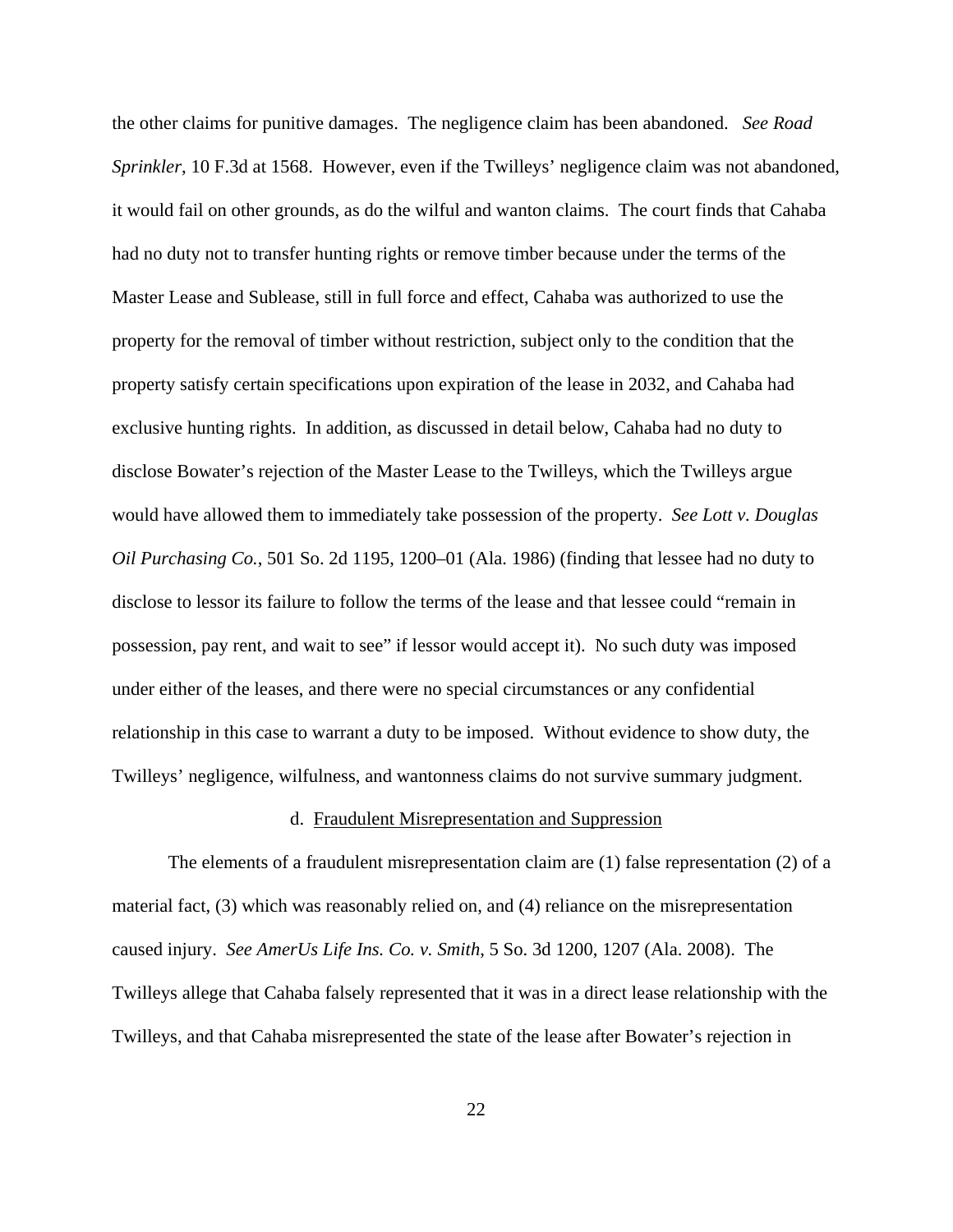the other claims for punitive damages. The negligence claim has been abandoned. *See Road Sprinkler*, 10 F.3d at 1568. However, even if the Twilleys' negligence claim was not abandoned, it would fail on other grounds, as do the wilful and wanton claims. The court finds that Cahaba had no duty not to transfer hunting rights or remove timber because under the terms of the Master Lease and Sublease, still in full force and effect, Cahaba was authorized to use the property for the removal of timber without restriction, subject only to the condition that the property satisfy certain specifications upon expiration of the lease in 2032, and Cahaba had exclusive hunting rights. In addition, as discussed in detail below, Cahaba had no duty to disclose Bowater's rejection of the Master Lease to the Twilleys, which the Twilleys argue would have allowed them to immediately take possession of the property. *See Lott v. Douglas Oil Purchasing Co.*, 501 So. 2d 1195, 1200–01 (Ala. 1986) (finding that lessee had no duty to disclose to lessor its failure to follow the terms of the lease and that lessee could "remain in possession, pay rent, and wait to see" if lessor would accept it). No such duty was imposed under either of the leases, and there were no special circumstances or any confidential relationship in this case to warrant a duty to be imposed. Without evidence to show duty, the Twilleys' negligence, wilfulness, and wantonness claims do not survive summary judgment.

## d. Fraudulent Misrepresentation and Suppression

The elements of a fraudulent misrepresentation claim are (1) false representation (2) of a material fact, (3) which was reasonably relied on, and (4) reliance on the misrepresentation caused injury. *See AmerUs Life Ins. Co. v. Smith*, 5 So. 3d 1200, 1207 (Ala. 2008). The Twilleys allege that Cahaba falsely represented that it was in a direct lease relationship with the Twilleys, and that Cahaba misrepresented the state of the lease after Bowater's rejection in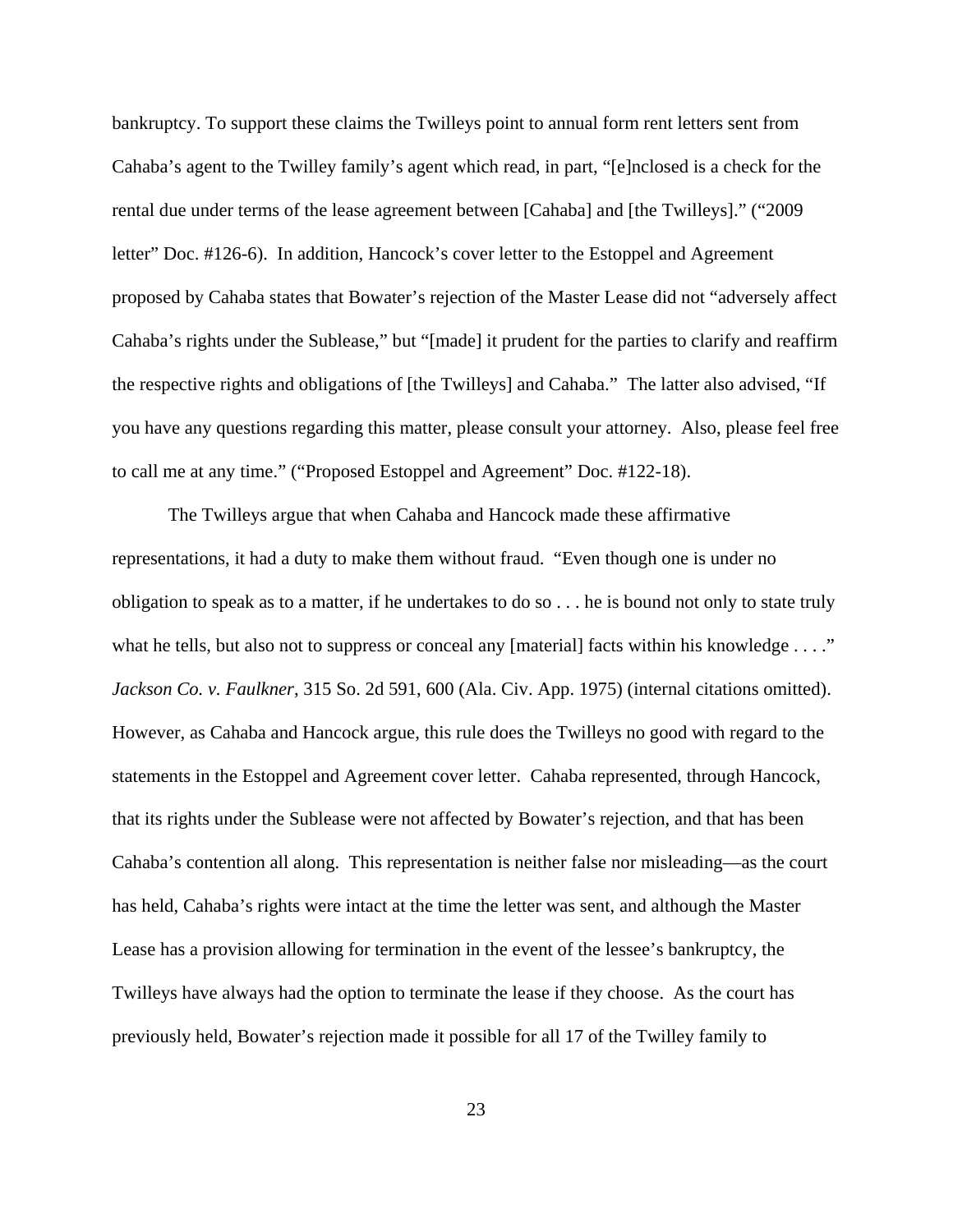bankruptcy. To support these claims the Twilleys point to annual form rent letters sent from Cahaba's agent to the Twilley family's agent which read, in part, "[e]nclosed is a check for the rental due under terms of the lease agreement between [Cahaba] and [the Twilleys]." ("2009 letter" Doc. #126-6). In addition, Hancock's cover letter to the Estoppel and Agreement proposed by Cahaba states that Bowater's rejection of the Master Lease did not "adversely affect Cahaba's rights under the Sublease," but "[made] it prudent for the parties to clarify and reaffirm the respective rights and obligations of [the Twilleys] and Cahaba." The latter also advised, "If you have any questions regarding this matter, please consult your attorney. Also, please feel free to call me at any time." ("Proposed Estoppel and Agreement" Doc. #122-18).

The Twilleys argue that when Cahaba and Hancock made these affirmative representations, it had a duty to make them without fraud. "Even though one is under no obligation to speak as to a matter, if he undertakes to do so . . . he is bound not only to state truly what he tells, but also not to suppress or conceal any [material] facts within his knowledge . . . ." *Jackson Co. v. Faulkner*, 315 So. 2d 591, 600 (Ala. Civ. App. 1975) (internal citations omitted). However, as Cahaba and Hancock argue, this rule does the Twilleys no good with regard to the statements in the Estoppel and Agreement cover letter. Cahaba represented, through Hancock, that its rights under the Sublease were not affected by Bowater's rejection, and that has been Cahaba's contention all along. This representation is neither false nor misleading—as the court has held, Cahaba's rights were intact at the time the letter was sent, and although the Master Lease has a provision allowing for termination in the event of the lessee's bankruptcy, the Twilleys have always had the option to terminate the lease if they choose. As the court has previously held, Bowater's rejection made it possible for all 17 of the Twilley family to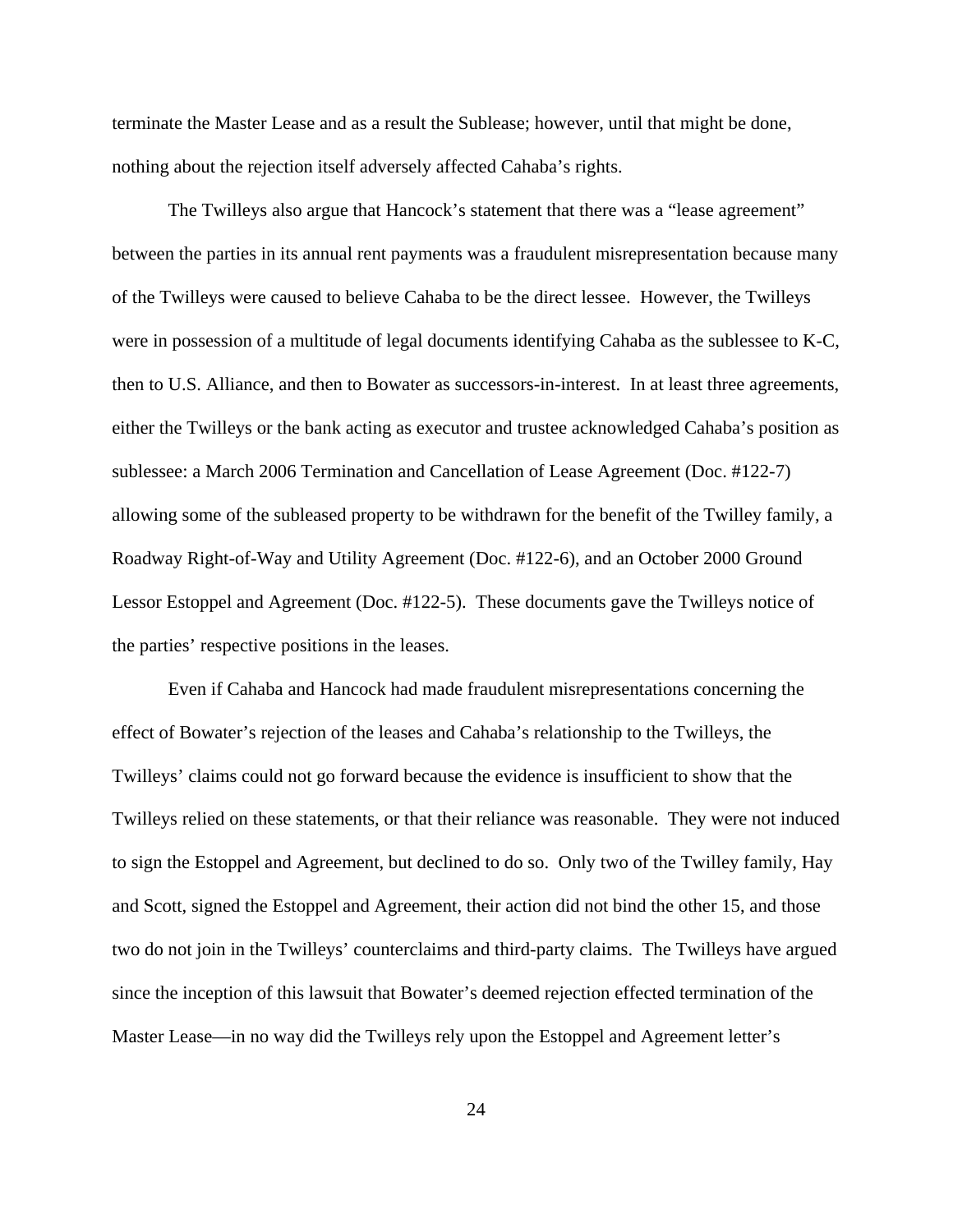terminate the Master Lease and as a result the Sublease; however, until that might be done, nothing about the rejection itself adversely affected Cahaba's rights.

The Twilleys also argue that Hancock's statement that there was a "lease agreement" between the parties in its annual rent payments was a fraudulent misrepresentation because many of the Twilleys were caused to believe Cahaba to be the direct lessee. However, the Twilleys were in possession of a multitude of legal documents identifying Cahaba as the sublessee to K-C, then to U.S. Alliance, and then to Bowater as successors-in-interest. In at least three agreements, either the Twilleys or the bank acting as executor and trustee acknowledged Cahaba's position as sublessee: a March 2006 Termination and Cancellation of Lease Agreement (Doc. #122-7) allowing some of the subleased property to be withdrawn for the benefit of the Twilley family, a Roadway Right-of-Way and Utility Agreement (Doc. #122-6), and an October 2000 Ground Lessor Estoppel and Agreement (Doc. #122-5). These documents gave the Twilleys notice of the parties' respective positions in the leases.

Even if Cahaba and Hancock had made fraudulent misrepresentations concerning the effect of Bowater's rejection of the leases and Cahaba's relationship to the Twilleys, the Twilleys' claims could not go forward because the evidence is insufficient to show that the Twilleys relied on these statements, or that their reliance was reasonable. They were not induced to sign the Estoppel and Agreement, but declined to do so. Only two of the Twilley family, Hay and Scott, signed the Estoppel and Agreement, their action did not bind the other 15, and those two do not join in the Twilleys' counterclaims and third-party claims. The Twilleys have argued since the inception of this lawsuit that Bowater's deemed rejection effected termination of the Master Lease—in no way did the Twilleys rely upon the Estoppel and Agreement letter's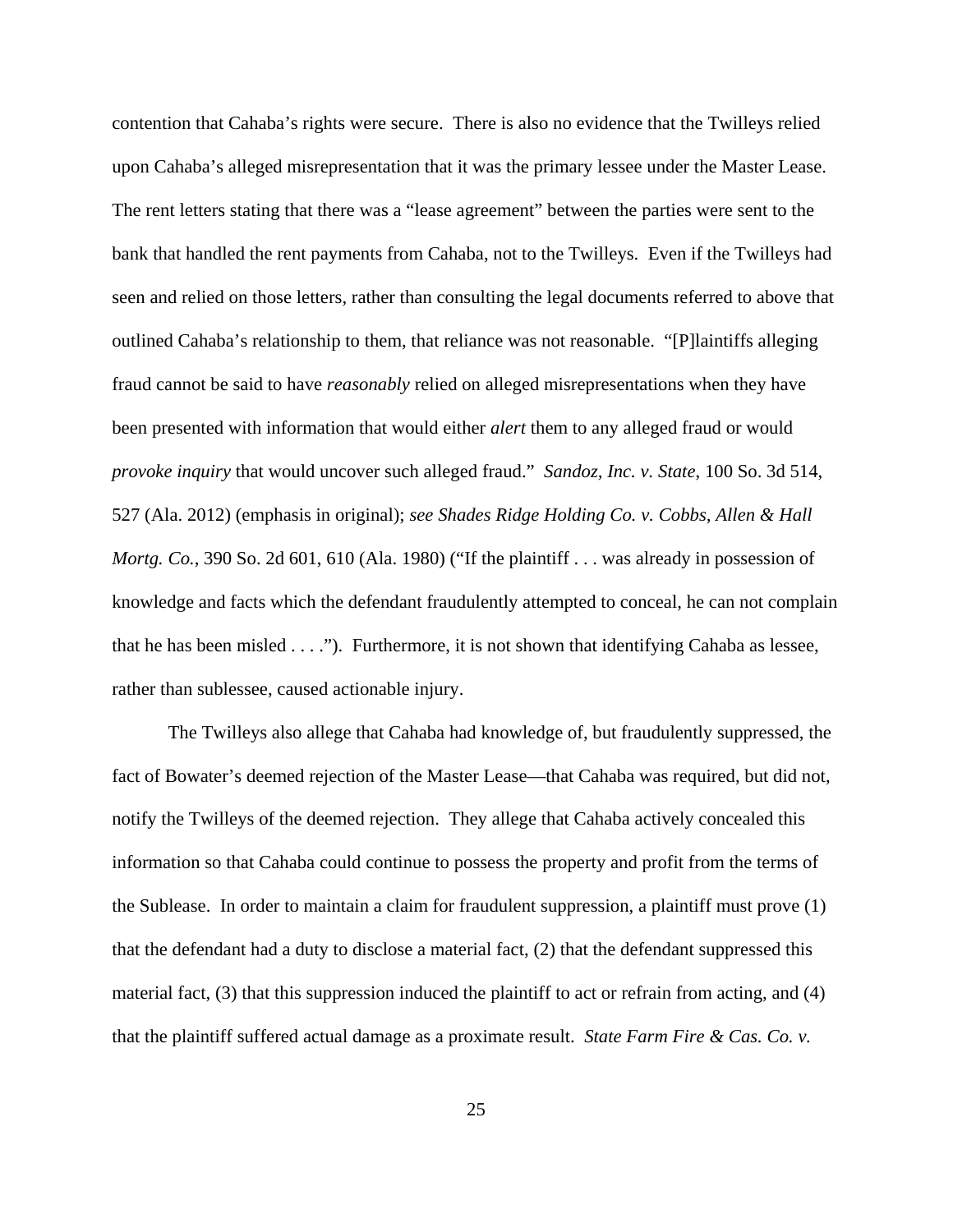contention that Cahaba's rights were secure. There is also no evidence that the Twilleys relied upon Cahaba's alleged misrepresentation that it was the primary lessee under the Master Lease. The rent letters stating that there was a "lease agreement" between the parties were sent to the bank that handled the rent payments from Cahaba, not to the Twilleys. Even if the Twilleys had seen and relied on those letters, rather than consulting the legal documents referred to above that outlined Cahaba's relationship to them, that reliance was not reasonable. "[P]laintiffs alleging fraud cannot be said to have *reasonably* relied on alleged misrepresentations when they have been presented with information that would either *alert* them to any alleged fraud or would *provoke inquiry* that would uncover such alleged fraud." *Sandoz, Inc. v. State*, 100 So. 3d 514, 527 (Ala. 2012) (emphasis in original); *see Shades Ridge Holding Co. v. Cobbs, Allen & Hall Mortg. Co.*, 390 So. 2d 601, 610 (Ala. 1980) ("If the plaintiff . . . was already in possession of knowledge and facts which the defendant fraudulently attempted to conceal, he can not complain that he has been misled . . . ."). Furthermore, it is not shown that identifying Cahaba as lessee, rather than sublessee, caused actionable injury.

The Twilleys also allege that Cahaba had knowledge of, but fraudulently suppressed, the fact of Bowater's deemed rejection of the Master Lease—that Cahaba was required, but did not, notify the Twilleys of the deemed rejection. They allege that Cahaba actively concealed this information so that Cahaba could continue to possess the property and profit from the terms of the Sublease. In order to maintain a claim for fraudulent suppression, a plaintiff must prove (1) that the defendant had a duty to disclose a material fact, (2) that the defendant suppressed this material fact, (3) that this suppression induced the plaintiff to act or refrain from acting, and (4) that the plaintiff suffered actual damage as a proximate result. *State Farm Fire & Cas. Co. v.*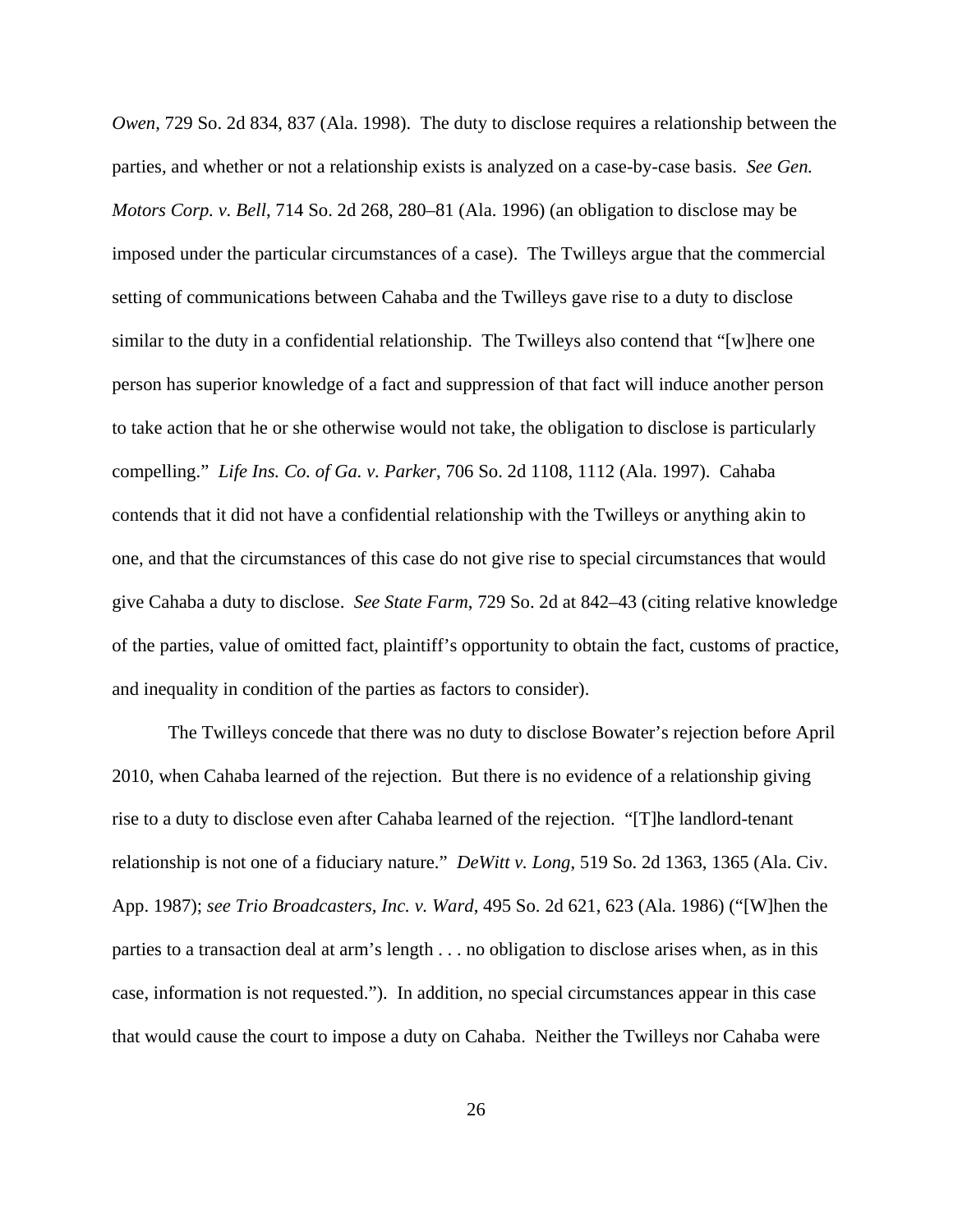*Owen*, 729 So. 2d 834, 837 (Ala. 1998). The duty to disclose requires a relationship between the parties, and whether or not a relationship exists is analyzed on a case-by-case basis. *See Gen. Motors Corp. v. Bell*, 714 So. 2d 268, 280–81 (Ala. 1996) (an obligation to disclose may be imposed under the particular circumstances of a case). The Twilleys argue that the commercial setting of communications between Cahaba and the Twilleys gave rise to a duty to disclose similar to the duty in a confidential relationship. The Twilleys also contend that "[w]here one person has superior knowledge of a fact and suppression of that fact will induce another person to take action that he or she otherwise would not take, the obligation to disclose is particularly compelling." *Life Ins. Co. of Ga. v. Parker*, 706 So. 2d 1108, 1112 (Ala. 1997). Cahaba contends that it did not have a confidential relationship with the Twilleys or anything akin to one, and that the circumstances of this case do not give rise to special circumstances that would give Cahaba a duty to disclose. *See State Farm*, 729 So. 2d at 842–43 (citing relative knowledge of the parties, value of omitted fact, plaintiff's opportunity to obtain the fact, customs of practice, and inequality in condition of the parties as factors to consider).

The Twilleys concede that there was no duty to disclose Bowater's rejection before April 2010, when Cahaba learned of the rejection. But there is no evidence of a relationship giving rise to a duty to disclose even after Cahaba learned of the rejection. "[T]he landlord-tenant relationship is not one of a fiduciary nature." *DeWitt v. Long*, 519 So. 2d 1363, 1365 (Ala. Civ. App. 1987); *see Trio Broadcasters, Inc. v. Ward*, 495 So. 2d 621, 623 (Ala. 1986) ("[W]hen the parties to a transaction deal at arm's length . . . no obligation to disclose arises when, as in this case, information is not requested."). In addition, no special circumstances appear in this case that would cause the court to impose a duty on Cahaba. Neither the Twilleys nor Cahaba were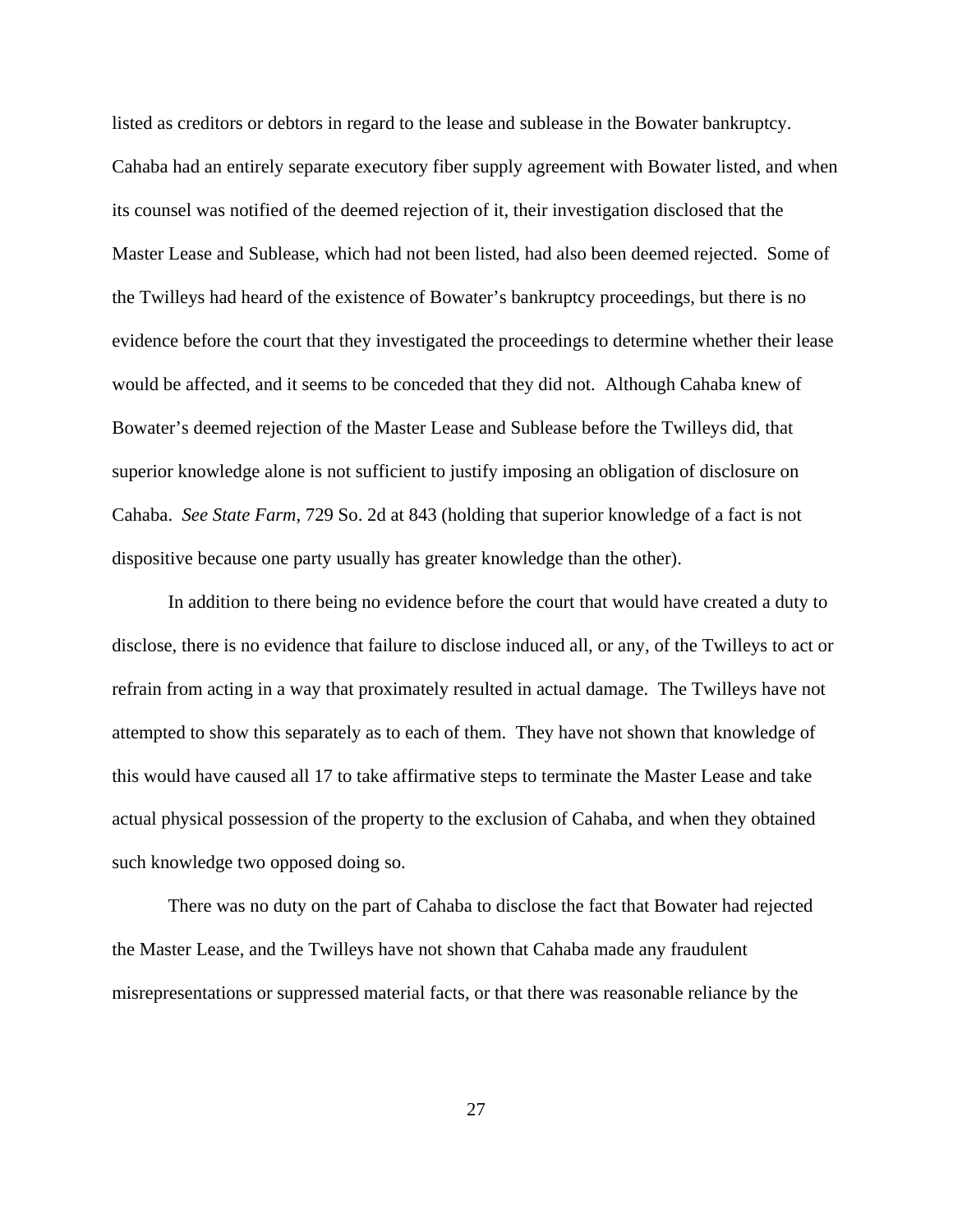listed as creditors or debtors in regard to the lease and sublease in the Bowater bankruptcy. Cahaba had an entirely separate executory fiber supply agreement with Bowater listed, and when its counsel was notified of the deemed rejection of it, their investigation disclosed that the Master Lease and Sublease, which had not been listed, had also been deemed rejected. Some of the Twilleys had heard of the existence of Bowater's bankruptcy proceedings, but there is no evidence before the court that they investigated the proceedings to determine whether their lease would be affected, and it seems to be conceded that they did not. Although Cahaba knew of Bowater's deemed rejection of the Master Lease and Sublease before the Twilleys did, that superior knowledge alone is not sufficient to justify imposing an obligation of disclosure on Cahaba. *See State Farm*, 729 So. 2d at 843 (holding that superior knowledge of a fact is not dispositive because one party usually has greater knowledge than the other).

In addition to there being no evidence before the court that would have created a duty to disclose, there is no evidence that failure to disclose induced all, or any, of the Twilleys to act or refrain from acting in a way that proximately resulted in actual damage. The Twilleys have not attempted to show this separately as to each of them. They have not shown that knowledge of this would have caused all 17 to take affirmative steps to terminate the Master Lease and take actual physical possession of the property to the exclusion of Cahaba, and when they obtained such knowledge two opposed doing so.

There was no duty on the part of Cahaba to disclose the fact that Bowater had rejected the Master Lease, and the Twilleys have not shown that Cahaba made any fraudulent misrepresentations or suppressed material facts, or that there was reasonable reliance by the

27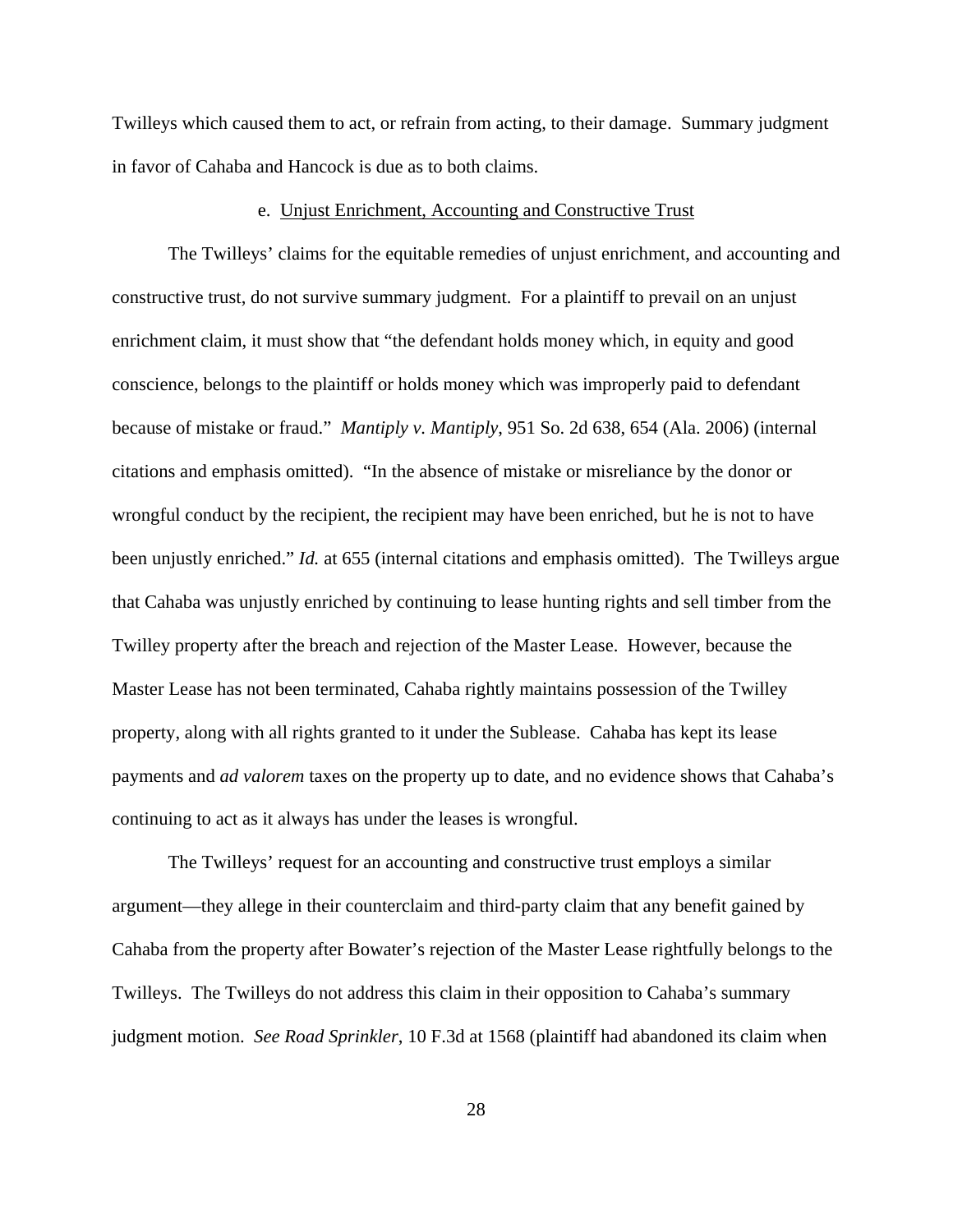Twilleys which caused them to act, or refrain from acting, to their damage. Summary judgment in favor of Cahaba and Hancock is due as to both claims.

#### e. Unjust Enrichment, Accounting and Constructive Trust

The Twilleys' claims for the equitable remedies of unjust enrichment, and accounting and constructive trust, do not survive summary judgment. For a plaintiff to prevail on an unjust enrichment claim, it must show that "the defendant holds money which, in equity and good conscience, belongs to the plaintiff or holds money which was improperly paid to defendant because of mistake or fraud." *Mantiply v. Mantiply*, 951 So. 2d 638, 654 (Ala. 2006) (internal citations and emphasis omitted). "In the absence of mistake or misreliance by the donor or wrongful conduct by the recipient, the recipient may have been enriched, but he is not to have been unjustly enriched." *Id.* at 655 (internal citations and emphasis omitted). The Twilleys argue that Cahaba was unjustly enriched by continuing to lease hunting rights and sell timber from the Twilley property after the breach and rejection of the Master Lease. However, because the Master Lease has not been terminated, Cahaba rightly maintains possession of the Twilley property, along with all rights granted to it under the Sublease. Cahaba has kept its lease payments and *ad valorem* taxes on the property up to date, and no evidence shows that Cahaba's continuing to act as it always has under the leases is wrongful.

The Twilleys' request for an accounting and constructive trust employs a similar argument—they allege in their counterclaim and third-party claim that any benefit gained by Cahaba from the property after Bowater's rejection of the Master Lease rightfully belongs to the Twilleys. The Twilleys do not address this claim in their opposition to Cahaba's summary judgment motion. *See Road Sprinkler*, 10 F.3d at 1568 (plaintiff had abandoned its claim when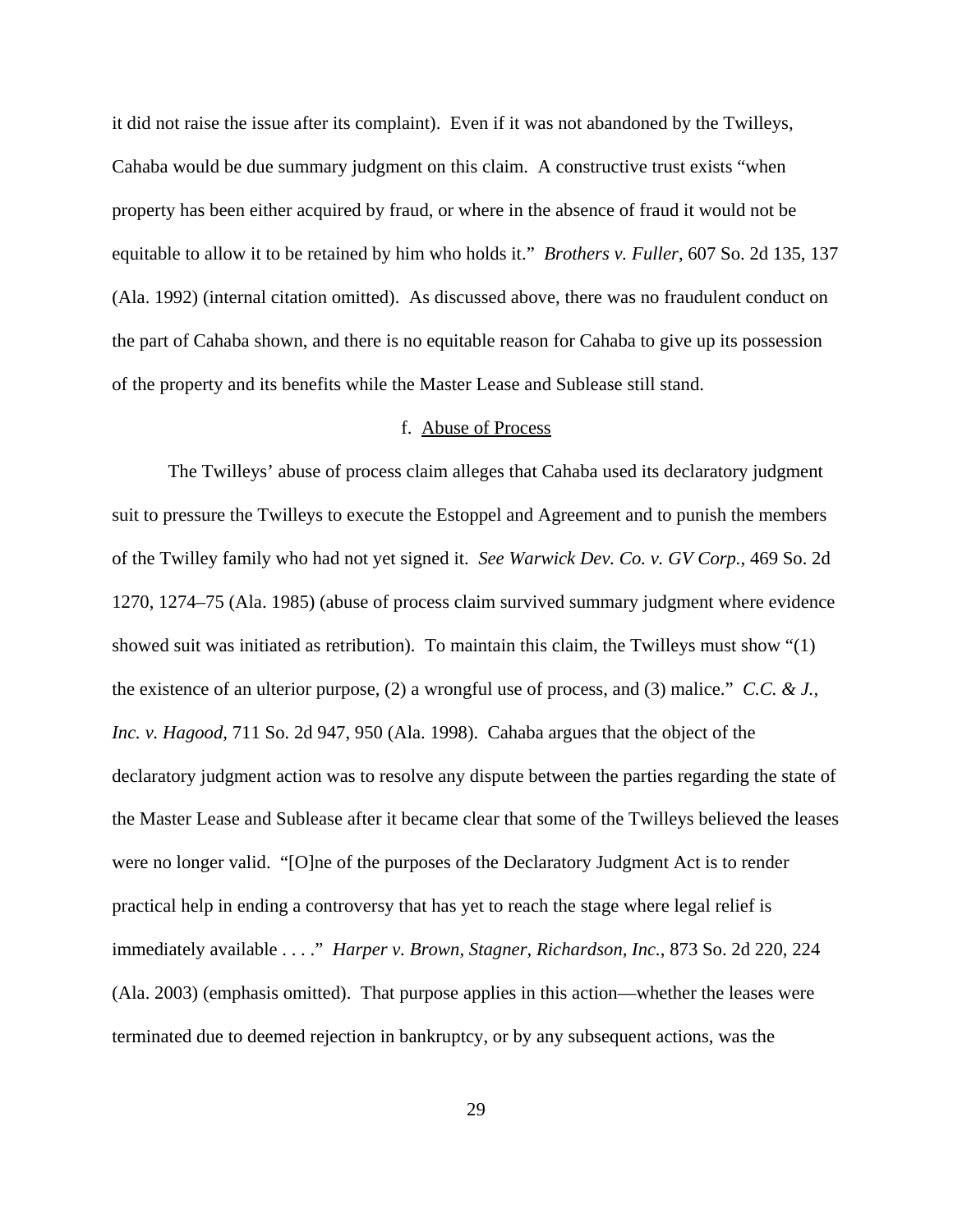it did not raise the issue after its complaint). Even if it was not abandoned by the Twilleys, Cahaba would be due summary judgment on this claim. A constructive trust exists "when property has been either acquired by fraud, or where in the absence of fraud it would not be equitable to allow it to be retained by him who holds it." *Brothers v. Fuller*, 607 So. 2d 135, 137 (Ala. 1992) (internal citation omitted). As discussed above, there was no fraudulent conduct on the part of Cahaba shown, and there is no equitable reason for Cahaba to give up its possession of the property and its benefits while the Master Lease and Sublease still stand.

# f. Abuse of Process

The Twilleys' abuse of process claim alleges that Cahaba used its declaratory judgment suit to pressure the Twilleys to execute the Estoppel and Agreement and to punish the members of the Twilley family who had not yet signed it. *See Warwick Dev. Co. v. GV Corp.*, 469 So. 2d 1270, 1274–75 (Ala. 1985) (abuse of process claim survived summary judgment where evidence showed suit was initiated as retribution). To maintain this claim, the Twilleys must show "(1) the existence of an ulterior purpose, (2) a wrongful use of process, and (3) malice." *C.C. & J., Inc. v. Hagood*, 711 So. 2d 947, 950 (Ala. 1998). Cahaba argues that the object of the declaratory judgment action was to resolve any dispute between the parties regarding the state of the Master Lease and Sublease after it became clear that some of the Twilleys believed the leases were no longer valid. "[O]ne of the purposes of the Declaratory Judgment Act is to render practical help in ending a controversy that has yet to reach the stage where legal relief is immediately available . . . ." *Harper v. Brown, Stagner, Richardson, Inc.*, 873 So. 2d 220, 224 (Ala. 2003) (emphasis omitted). That purpose applies in this action—whether the leases were terminated due to deemed rejection in bankruptcy, or by any subsequent actions, was the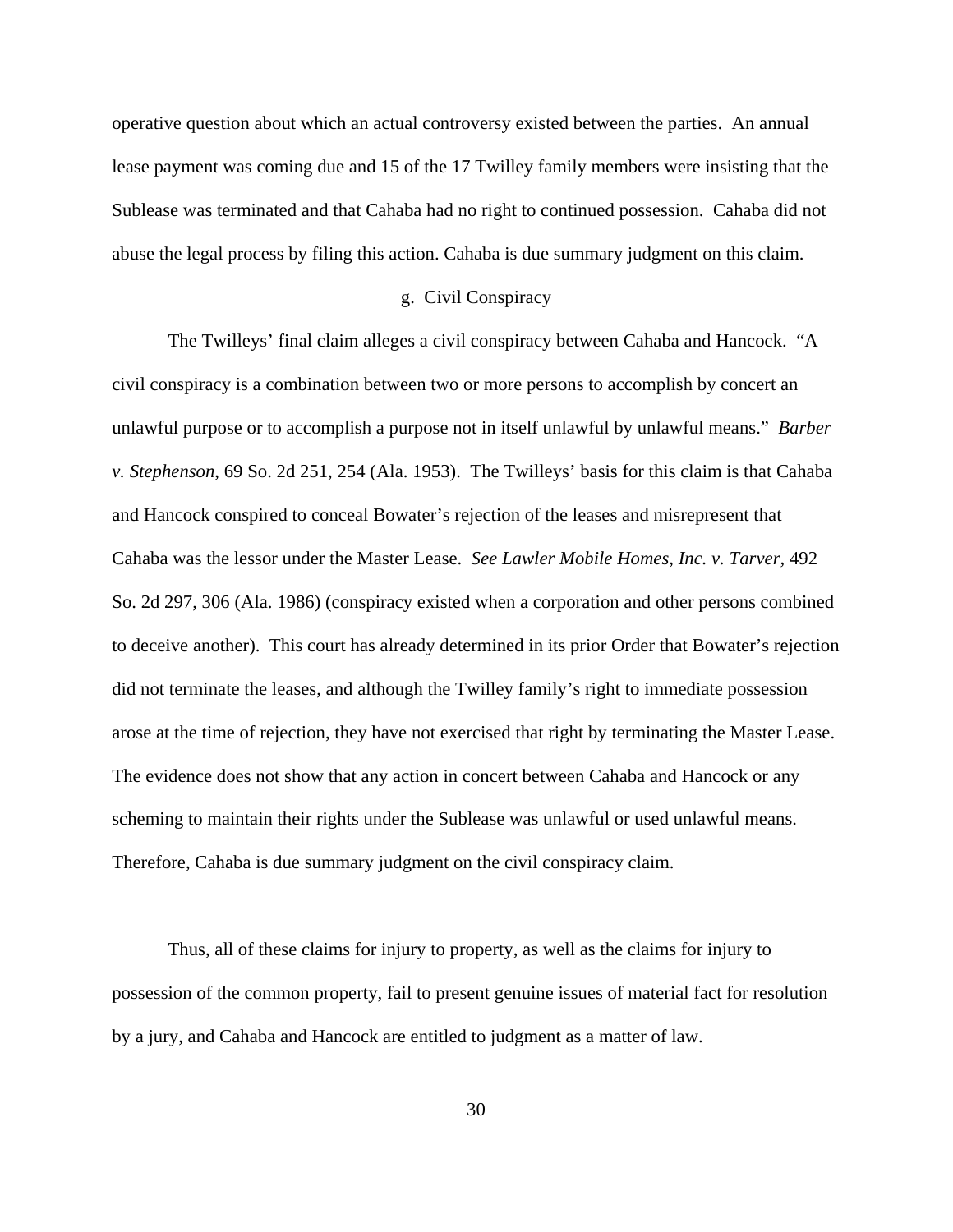operative question about which an actual controversy existed between the parties. An annual lease payment was coming due and 15 of the 17 Twilley family members were insisting that the Sublease was terminated and that Cahaba had no right to continued possession. Cahaba did not abuse the legal process by filing this action. Cahaba is due summary judgment on this claim.

## g. Civil Conspiracy

The Twilleys' final claim alleges a civil conspiracy between Cahaba and Hancock. "A civil conspiracy is a combination between two or more persons to accomplish by concert an unlawful purpose or to accomplish a purpose not in itself unlawful by unlawful means." *Barber v. Stephenson*, 69 So. 2d 251, 254 (Ala. 1953). The Twilleys' basis for this claim is that Cahaba and Hancock conspired to conceal Bowater's rejection of the leases and misrepresent that Cahaba was the lessor under the Master Lease. *See Lawler Mobile Homes, Inc. v. Tarver*, 492 So. 2d 297, 306 (Ala. 1986) (conspiracy existed when a corporation and other persons combined to deceive another). This court has already determined in its prior Order that Bowater's rejection did not terminate the leases, and although the Twilley family's right to immediate possession arose at the time of rejection, they have not exercised that right by terminating the Master Lease. The evidence does not show that any action in concert between Cahaba and Hancock or any scheming to maintain their rights under the Sublease was unlawful or used unlawful means. Therefore, Cahaba is due summary judgment on the civil conspiracy claim.

Thus, all of these claims for injury to property, as well as the claims for injury to possession of the common property, fail to present genuine issues of material fact for resolution by a jury, and Cahaba and Hancock are entitled to judgment as a matter of law.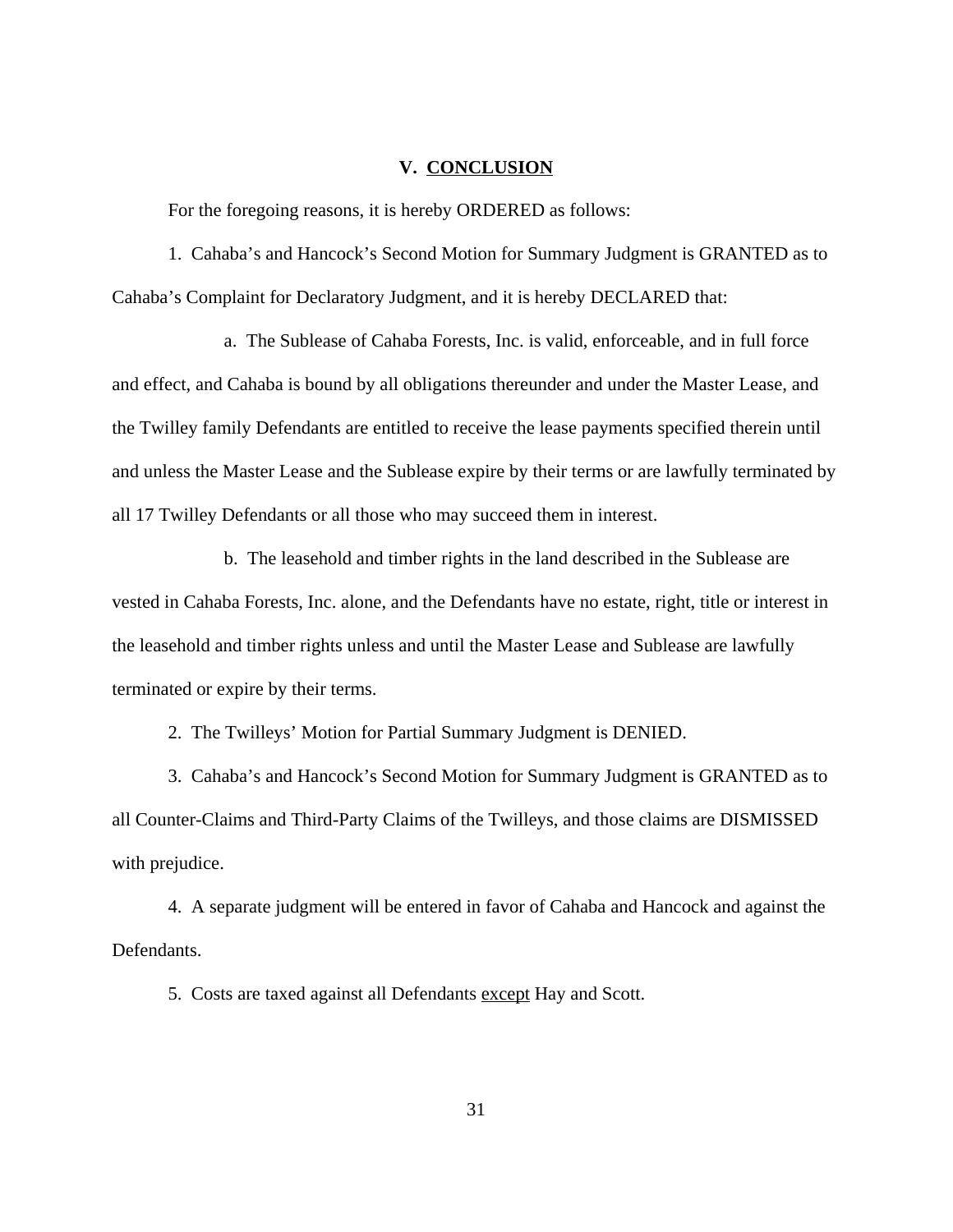## **V. CONCLUSION**

For the foregoing reasons, it is hereby ORDERED as follows:

1. Cahaba's and Hancock's Second Motion for Summary Judgment is GRANTED as to Cahaba's Complaint for Declaratory Judgment, and it is hereby DECLARED that:

a. The Sublease of Cahaba Forests, Inc. is valid, enforceable, and in full force and effect, and Cahaba is bound by all obligations thereunder and under the Master Lease, and the Twilley family Defendants are entitled to receive the lease payments specified therein until and unless the Master Lease and the Sublease expire by their terms or are lawfully terminated by all 17 Twilley Defendants or all those who may succeed them in interest.

b. The leasehold and timber rights in the land described in the Sublease are vested in Cahaba Forests, Inc. alone, and the Defendants have no estate, right, title or interest in the leasehold and timber rights unless and until the Master Lease and Sublease are lawfully terminated or expire by their terms.

2. The Twilleys' Motion for Partial Summary Judgment is DENIED.

3. Cahaba's and Hancock's Second Motion for Summary Judgment is GRANTED as to all Counter-Claims and Third-Party Claims of the Twilleys, and those claims are DISMISSED with prejudice.

4. A separate judgment will be entered in favor of Cahaba and Hancock and against the Defendants.

5. Costs are taxed against all Defendants except Hay and Scott.

31